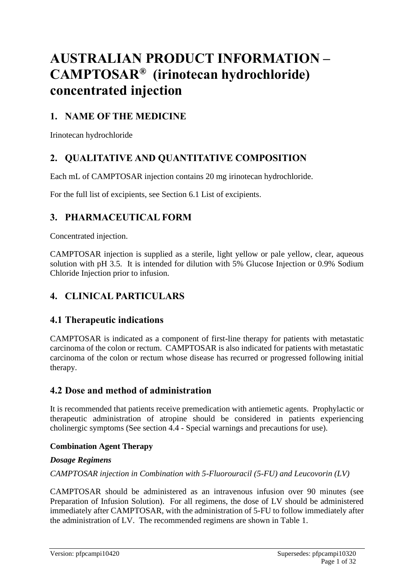# **AUSTRALIAN PRODUCT INFORMATION – CAMPTOSAR® (irinotecan hydrochloride) concentrated injection**

# **1. NAME OF THE MEDICINE**

Irinotecan hydrochloride

# **2. QUALITATIVE AND QUANTITATIVE COMPOSITION**

Each mL of CAMPTOSAR injection contains 20 mg irinotecan hydrochloride.

For the full list of excipients, see Section 6.1 List of excipients.

# **3. PHARMACEUTICAL FORM**

Concentrated injection.

CAMPTOSAR injection is supplied as a sterile, light yellow or pale yellow, clear, aqueous solution with pH 3.5. It is intended for dilution with 5% Glucose Injection or 0.9% Sodium Chloride Injection prior to infusion.

# **4. CLINICAL PARTICULARS**

### **4.1 Therapeutic indications**

CAMPTOSAR is indicated as a component of first-line therapy for patients with metastatic carcinoma of the colon or rectum. CAMPTOSAR is also indicated for patients with metastatic carcinoma of the colon or rectum whose disease has recurred or progressed following initial therapy.

### **4.2 Dose and method of administration**

It is recommended that patients receive premedication with antiemetic agents. Prophylactic or therapeutic administration of atropine should be considered in patients experiencing cholinergic symptoms (See section 4.4 - Special warnings and precautions for use).

### **Combination Agent Therapy**

#### *Dosage Regimens*

*CAMPTOSAR injection in Combination with 5-Fluorouracil (5-FU) and Leucovorin (LV)*

CAMPTOSAR should be administered as an intravenous infusion over 90 minutes (see Preparation of Infusion Solution). For all regimens, the dose of LV should be administered immediately after CAMPTOSAR, with the administration of 5-FU to follow immediately after the administration of LV. The recommended regimens are shown in Table 1.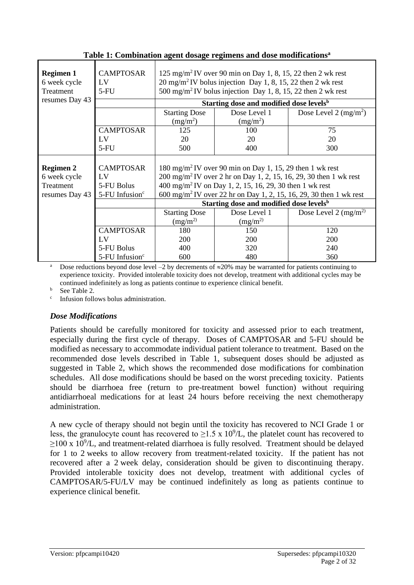| <b>Regimen 1</b><br>6 week cycle<br>Treatment | <b>CAMPTOSAR</b><br>LV<br>$5-FU$ | $125 \text{ mg/m}^2$ IV over 90 min on Day 1, 8, 15, 22 then 2 wk rest<br>$20 \text{ mg/m}^2$ IV bolus injection Day 1, 8, 15, 22 then 2 wk rest<br>500 mg/m <sup>2</sup> IV bolus injection Day 1, 8, 15, 22 then 2 wk rest |                                                                               |                                                                                |  |  |  |  |
|-----------------------------------------------|----------------------------------|------------------------------------------------------------------------------------------------------------------------------------------------------------------------------------------------------------------------------|-------------------------------------------------------------------------------|--------------------------------------------------------------------------------|--|--|--|--|
| resumes Day 43                                |                                  |                                                                                                                                                                                                                              | Starting dose and modified dose levels <sup>b</sup>                           |                                                                                |  |  |  |  |
|                                               |                                  | <b>Starting Dose</b>                                                                                                                                                                                                         | Dose Level 1                                                                  | Dose Level 2 $(mg/m^2)$                                                        |  |  |  |  |
|                                               |                                  | $(mg/m^2)$                                                                                                                                                                                                                   | $(mg/m^2)$                                                                    |                                                                                |  |  |  |  |
|                                               | <b>CAMPTOSAR</b>                 | 125                                                                                                                                                                                                                          | 100                                                                           | 75                                                                             |  |  |  |  |
|                                               | LV                               | 20                                                                                                                                                                                                                           | 20                                                                            | 20                                                                             |  |  |  |  |
|                                               | $5-FU$                           | 500                                                                                                                                                                                                                          | 400                                                                           | 300                                                                            |  |  |  |  |
|                                               |                                  |                                                                                                                                                                                                                              |                                                                               |                                                                                |  |  |  |  |
| <b>Regimen 2</b>                              | <b>CAMPTOSAR</b>                 |                                                                                                                                                                                                                              | $180 \text{ mg/m}^2$ IV over 90 min on Day 1, 15, 29 then 1 wk rest           |                                                                                |  |  |  |  |
| 6 week cycle                                  | LV                               |                                                                                                                                                                                                                              | 200 mg/m <sup>2</sup> IV over 2 hr on Day 1, 2, 15, 16, 29, 30 then 1 wk rest |                                                                                |  |  |  |  |
| Treatment                                     | 5-FU Bolus                       |                                                                                                                                                                                                                              | 400 mg/m <sup>2</sup> IV on Day 1, 2, 15, 16, 29, 30 then 1 wk rest           |                                                                                |  |  |  |  |
| resumes Day 43                                | 5-FU Infusion <sup>c</sup>       |                                                                                                                                                                                                                              |                                                                               | 600 mg/m <sup>2</sup> IV over 22 hr on Day 1, 2, 15, 16, 29, 30 then 1 wk rest |  |  |  |  |
|                                               |                                  |                                                                                                                                                                                                                              | Starting dose and modified dose levels <sup>b</sup>                           |                                                                                |  |  |  |  |
|                                               |                                  | <b>Starting Dose</b>                                                                                                                                                                                                         | Dose Level 1                                                                  | Dose Level 2 $(mg/m^2)$                                                        |  |  |  |  |
|                                               |                                  | $(mg/m^2)$                                                                                                                                                                                                                   |                                                                               |                                                                                |  |  |  |  |
|                                               | <b>CAMPTOSAR</b>                 | 180<br>150                                                                                                                                                                                                                   |                                                                               | 120                                                                            |  |  |  |  |
|                                               | LV                               | 200<br><b>200</b><br><b>200</b>                                                                                                                                                                                              |                                                                               |                                                                                |  |  |  |  |
|                                               | 5-FU Bolus                       | 400                                                                                                                                                                                                                          | 320                                                                           | 240                                                                            |  |  |  |  |
|                                               | 5-FU Infusion <sup>c</sup>       | 600                                                                                                                                                                                                                          | 480                                                                           | 360                                                                            |  |  |  |  |

#### **Table 1: Combination agent dosage regimens and dose modifications<sup>a</sup>**

Dose reductions beyond dose level  $-2$  by decrements of  $\approx 20\%$  may be warranted for patients continuing to experience toxicity. Provided intolerable toxicity does not develop, treatment with additional cycles may be continued indefinitely as long as patients continue to experience clinical benefit.

See Table 2.

c Infusion follows bolus administration.

#### *Dose Modifications*

Patients should be carefully monitored for toxicity and assessed prior to each treatment, especially during the first cycle of therapy. Doses of CAMPTOSAR and 5-FU should be modified as necessary to accommodate individual patient tolerance to treatment. Based on the recommended dose levels described in Table 1, subsequent doses should be adjusted as suggested in Table 2, which shows the recommended dose modifications for combination schedules. All dose modifications should be based on the worst preceding toxicity. Patients should be diarrhoea free (return to pre-treatment bowel function) without requiring antidiarrhoeal medications for at least 24 hours before receiving the next chemotherapy administration.

A new cycle of therapy should not begin until the toxicity has recovered to NCI Grade 1 or less, the granulocyte count has recovered to  $\geq$ 1.5 x 10<sup>9</sup>/L, the platelet count has recovered to  $\geq$ 100 x 10<sup>9</sup>/L, and treatment-related diarrhoea is fully resolved. Treatment should be delayed for 1 to 2 weeks to allow recovery from treatment-related toxicity. If the patient has not recovered after a 2 week delay, consideration should be given to discontinuing therapy. Provided intolerable toxicity does not develop, treatment with additional cycles of CAMPTOSAR/5-FU/LV may be continued indefinitely as long as patients continue to experience clinical benefit.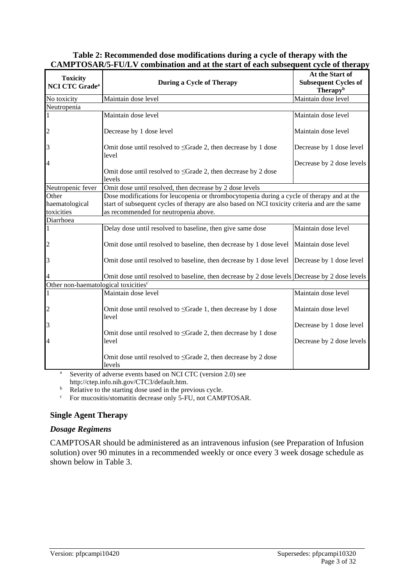| <b>Toxicity</b>                                  | САМИ ТОВАКУЭ-ГОД V Сонютанон ана ас ніс загі ог сасн завясувсті сусіс ог ністару               | At the Start of                 |
|--------------------------------------------------|------------------------------------------------------------------------------------------------|---------------------------------|
| <b>NCI CTC Grade</b> <sup>a</sup>                | During a Cycle of Therapy                                                                      | <b>Subsequent Cycles of</b>     |
| No toxicity                                      | Maintain dose level                                                                            | Therapyb<br>Maintain dose level |
| Neutropenia                                      |                                                                                                |                                 |
| 1                                                | Maintain dose level                                                                            | Maintain dose level             |
|                                                  |                                                                                                |                                 |
| $\overline{c}$                                   | Decrease by 1 dose level                                                                       | Maintain dose level             |
| 3                                                | Omit dose until resolved to $\leq$ Grade 2, then decrease by 1 dose<br>level                   | Decrease by 1 dose level        |
| 4                                                |                                                                                                | Decrease by 2 dose levels       |
|                                                  | Omit dose until resolved to $\leq$ Grade 2, then decrease by 2 dose<br>levels                  |                                 |
| Neutropenic fever                                | Omit dose until resolved, then decrease by 2 dose levels                                       |                                 |
| Other                                            | Dose modifications for leucopenia or thrombocytopenia during a cycle of therapy and at the     |                                 |
| haematological                                   | start of subsequent cycles of therapy are also based on NCI toxicity criteria and are the same |                                 |
| toxicities                                       | as recommended for neutropenia above.                                                          |                                 |
| Diarrhoea                                        |                                                                                                |                                 |
| $\mathbf{1}$                                     | Delay dose until resolved to baseline, then give same dose                                     | Maintain dose level             |
| 2                                                | Omit dose until resolved to baseline, then decrease by 1 dose level                            | Maintain dose level             |
| 3                                                | Omit dose until resolved to baseline, then decrease by 1 dose level Decrease by 1 dose level   |                                 |
|                                                  | Omit dose until resolved to baseline, then decrease by 2 dose levels Decrease by 2 dose levels |                                 |
| Other non-haematological toxicities <sup>c</sup> |                                                                                                |                                 |
| $\mathbf{1}$                                     | Maintain dose level                                                                            | Maintain dose level             |
| $\overline{c}$                                   | Omit dose until resolved to $\leq$ Grade 1, then decrease by 1 dose<br>level                   | Maintain dose level             |
| 3                                                |                                                                                                | Decrease by 1 dose level        |
| 4                                                | Omit dose until resolved to $\leq$ Grade 2, then decrease by 1 dose<br>level                   | Decrease by 2 dose levels       |
|                                                  | Omit dose until resolved to $\leq$ Grade 2, then decrease by 2 dose<br>levels                  |                                 |

#### **Table 2: Recommended dose modifications during a cycle of therapy with the CAMPTOSAR/5-FU/LV combination and at the start of each subsequent cycle of therapy**

<sup>a</sup> Severity of adverse events based on NCI CTC (version 2.0) see

http://ctep.info.nih.gov/CTC3/default.htm.

<sup>b</sup> Relative to the starting dose used in the previous cycle.

<sup>c</sup> For mucositis/stomatitis decrease only 5-FU, not CAMPTOSAR.

#### **Single Agent Therapy**

#### *Dosage Regimens*

CAMPTOSAR should be administered as an intravenous infusion (see Preparation of Infusion solution) over 90 minutes in a recommended weekly or once every 3 week dosage schedule as shown below in Table 3.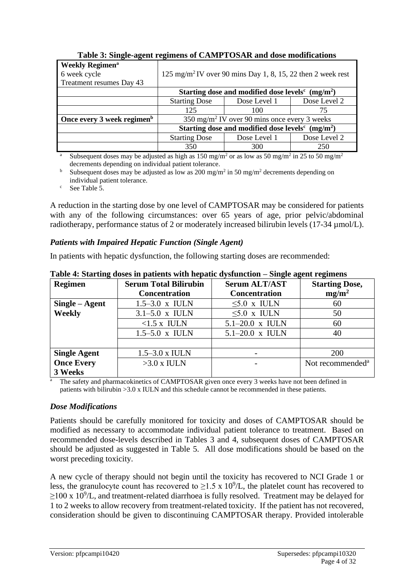| <b>Weekly Regimen<sup>a</sup></b><br>6 week cycle<br>Treatment resumes Day 43 | $125 \text{ mg/m}^2$ IV over 90 mins Day 1, 8, 15, 22 then 2 week rest   |              |              |  |  |
|-------------------------------------------------------------------------------|--------------------------------------------------------------------------|--------------|--------------|--|--|
|                                                                               | Starting dose and modified dose levels <sup>c</sup> (mg/m <sup>2</sup> ) |              |              |  |  |
|                                                                               | <b>Starting Dose</b>                                                     | Dose Level 1 | Dose Level 2 |  |  |
|                                                                               | 125<br>100<br>75                                                         |              |              |  |  |
| Once every 3 week regimen <sup>b</sup>                                        | $350 \text{ mg/m}^2$ IV over 90 mins once every 3 weeks                  |              |              |  |  |
|                                                                               | Starting dose and modified dose levels <sup>c</sup> (mg/m <sup>2</sup> ) |              |              |  |  |
|                                                                               | <b>Starting Dose</b>                                                     | Dose Level 1 | Dose Level 2 |  |  |
|                                                                               | 350                                                                      | 300          | 250          |  |  |

**Table 3: Single-agent regimens of CAMPTOSAR and dose modifications**

<sup>a</sup> Subsequent doses may be adjusted as high as 150 mg/m<sup>2</sup> or as low as 50 mg/m<sup>2</sup> in 25 to 50 mg/m<sup>2</sup> decrements depending on individual patient tolerance.

<sup>b</sup> Subsequent doses may be adjusted as low as 200 mg/m<sup>2</sup> in 50 mg/m<sup>2</sup> decrements depending on individual patient tolerance.

 $\textdegree$  See Table 5.

A reduction in the starting dose by one level of CAMPTOSAR may be considered for patients with any of the following circumstances: over 65 years of age, prior pelvic/abdominal radiotherapy, performance status of 2 or moderately increased bilirubin levels (17-34  $\mu$ mol/L).

### *Patients with Impaired Hepatic Function (Single Agent)*

In patients with hepatic dysfunction, the following starting doses are recommended:

| -<br><b>Regimen</b> | <b>Serum Total Bilirubin</b> | o<br><b>Serum ALT/AST</b> | <b>Starting Dose,</b>        |
|---------------------|------------------------------|---------------------------|------------------------------|
|                     | <b>Concentration</b>         | <b>Concentration</b>      | mg/m <sup>2</sup>            |
| $Single - Agent$    | $1.5 - 3.0$ x IULN           | $\leq 5.0$ x IULN         | 60                           |
| <b>Weekly</b>       | $3.1 - 5.0$ x IULN           | $\leq 5.0$ x IULN         | 50                           |
|                     | $<1.5$ x IULN                | 5.1-20.0 x IULN           | 60                           |
|                     | $1.5 - 5.0 \times IULN$      | $5.1 - 20.0 \times IULN$  | 40                           |
|                     |                              |                           |                              |
| <b>Single Agent</b> | $1.5 - 3.0$ x IULN           |                           | 200                          |
| <b>Once Every</b>   | $>3.0$ x IULN                |                           | Not recommended <sup>a</sup> |
| 3 Weeks             |                              |                           |                              |

**Table 4: Starting doses in patients with hepatic dysfunction – Single agent regimens**

The safety and pharmacokinetics of CAMPTOSAR given once every 3 weeks have not been defined in patients with bilirubin >3.0 x IULN and this schedule cannot be recommended in these patients.

### *Dose Modifications*

Patients should be carefully monitored for toxicity and doses of CAMPTOSAR should be modified as necessary to accommodate individual patient tolerance to treatment. Based on recommended dose-levels described in Tables 3 and 4, subsequent doses of CAMPTOSAR should be adjusted as suggested in Table 5. All dose modifications should be based on the worst preceding toxicity.

A new cycle of therapy should not begin until the toxicity has recovered to NCI Grade 1 or less, the granulocyte count has recovered to  $\geq$ 1.5 x 10<sup>9</sup>/L, the platelet count has recovered to  $\geq$ 100 x 10<sup>9</sup>/L, and treatment-related diarrhoea is fully resolved. Treatment may be delayed for 1 to 2 weeks to allow recovery from treatment-related toxicity. If the patient has not recovered, consideration should be given to discontinuing CAMPTOSAR therapy. Provided intolerable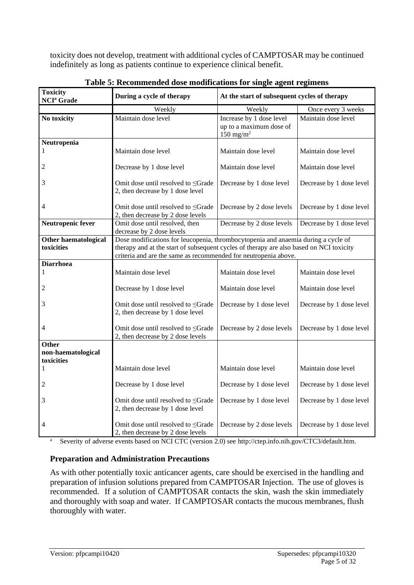toxicity does not develop, treatment with additional cycles of CAMPTOSAR may be continued indefinitely as long as patients continue to experience clinical benefit.

| <b>Toxicity</b><br><b>NCI<sup>a</sup></b> Grade | During a cycle of therapy                                                               | At the start of subsequent cycles of therapy                                |                          |
|-------------------------------------------------|-----------------------------------------------------------------------------------------|-----------------------------------------------------------------------------|--------------------------|
|                                                 | Weekly                                                                                  | Weekly                                                                      | Once every 3 weeks       |
| No toxicity                                     | Maintain dose level                                                                     | Increase by 1 dose level<br>up to a maximum dose of<br>$150 \text{ mg/m}^2$ | Maintain dose level      |
| Neutropenia                                     |                                                                                         |                                                                             |                          |
| 1                                               | Maintain dose level                                                                     | Maintain dose level                                                         | Maintain dose level      |
| 2                                               | Decrease by 1 dose level                                                                | Maintain dose level                                                         | Maintain dose level      |
| 3                                               | Omit dose until resolved to ≤Grade<br>2, then decrease by 1 dose level                  | Decrease by 1 dose level                                                    | Decrease by 1 dose level |
| $\overline{4}$                                  | Omit dose until resolved to <grade<br>2, then decrease by 2 dose levels</grade<br>      | Decrease by 2 dose levels                                                   | Decrease by 1 dose level |
| Neutropenic fever                               | Omit dose until resolved, then<br>decrease by 2 dose levels                             | Decrease by 2 dose levels                                                   | Decrease by 1 dose level |
| <b>Other haematological</b>                     | Dose modifications for leucopenia, thrombocytopenia and anaemia during a cycle of       |                                                                             |                          |
| toxicities                                      | therapy and at the start of subsequent cycles of therapy are also based on NCI toxicity |                                                                             |                          |
|                                                 | criteria and are the same as recommended for neutropenia above.                         |                                                                             |                          |
| <b>Diarrhoea</b>                                |                                                                                         |                                                                             |                          |
| 1                                               | Maintain dose level                                                                     | Maintain dose level                                                         | Maintain dose level      |
| 2                                               | Decrease by 1 dose level                                                                | Maintain dose level                                                         | Maintain dose level      |
| 3                                               | Omit dose until resolved to ≤Grade<br>2, then decrease by 1 dose level                  | Decrease by 1 dose level                                                    | Decrease by 1 dose level |
| 4                                               | Omit dose until resolved to ≤Grade<br>2, then decrease by 2 dose levels                 | Decrease by 2 dose levels                                                   | Decrease by 1 dose level |
| Other<br>non-haematological<br>toxicities       |                                                                                         |                                                                             |                          |
| 1                                               | Maintain dose level                                                                     | Maintain dose level                                                         | Maintain dose level      |
| $\overline{c}$                                  | Decrease by 1 dose level                                                                | Decrease by 1 dose level                                                    | Decrease by 1 dose level |
| 3                                               | Omit dose until resolved to ≤Grade<br>2, then decrease by 1 dose level                  | Decrease by 1 dose level                                                    | Decrease by 1 dose level |
| 4                                               | Omit dose until resolved to ≤Grade<br>2, then decrease by 2 dose levels                 | Decrease by 2 dose levels                                                   | Decrease by 1 dose level |

**Table 5: Recommended dose modifications for single agent regimens**

<sup>a</sup> Severity of adverse events based on NCI CTC (version 2.0) see [http://ctep.info.nih.gov/CTC3/default.htm.](http://ctep.info.nih.gov/CTC3/default.htm)

### **Preparation and Administration Precautions**

As with other potentially toxic anticancer agents, care should be exercised in the handling and preparation of infusion solutions prepared from CAMPTOSAR Injection. The use of gloves is recommended. If a solution of CAMPTOSAR contacts the skin, wash the skin immediately and thoroughly with soap and water. If CAMPTOSAR contacts the mucous membranes, flush thoroughly with water.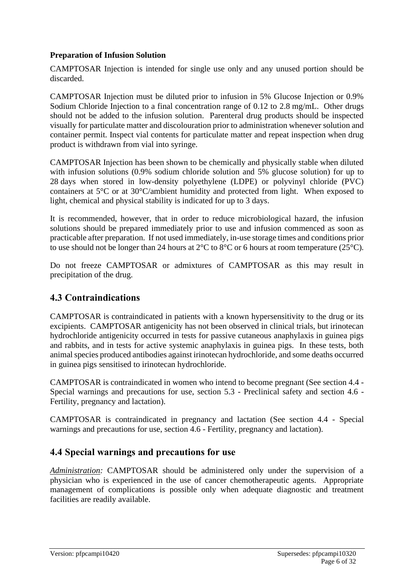### **Preparation of Infusion Solution**

CAMPTOSAR Injection is intended for single use only and any unused portion should be discarded.

CAMPTOSAR Injection must be diluted prior to infusion in 5% Glucose Injection or 0.9% Sodium Chloride Injection to a final concentration range of 0.12 to 2.8 mg/mL. Other drugs should not be added to the infusion solution. Parenteral drug products should be inspected visually for particulate matter and discolouration prior to administration whenever solution and container permit. Inspect vial contents for particulate matter and repeat inspection when drug product is withdrawn from vial into syringe.

CAMPTOSAR Injection has been shown to be chemically and physically stable when diluted with infusion solutions (0.9% sodium chloride solution and 5% glucose solution) for up to 28 days when stored in low-density polyethylene (LDPE) or polyvinyl chloride (PVC) containers at 5°C or at 30°C/ambient humidity and protected from light. When exposed to light, chemical and physical stability is indicated for up to 3 days.

It is recommended, however, that in order to reduce microbiological hazard, the infusion solutions should be prepared immediately prior to use and infusion commenced as soon as practicable after preparation. If not used immediately, in-use storage times and conditions prior to use should not be longer than 24 hours at 2°C to 8°C or 6 hours at room temperature (25°C).

Do not freeze CAMPTOSAR or admixtures of CAMPTOSAR as this may result in precipitation of the drug.

# **4.3 Contraindications**

CAMPTOSAR is contraindicated in patients with a known hypersensitivity to the drug or its excipients. CAMPTOSAR antigenicity has not been observed in clinical trials, but irinotecan hydrochloride antigenicity occurred in tests for passive cutaneous anaphylaxis in guinea pigs and rabbits, and in tests for active systemic anaphylaxis in guinea pigs. In these tests, both animal species produced antibodies against irinotecan hydrochloride, and some deaths occurred in guinea pigs sensitised to irinotecan hydrochloride.

CAMPTOSAR is contraindicated in women who intend to become pregnant (See section 4.4 - Special warnings and precautions for use, section 5.3 - Preclinical safety and section 4.6 - Fertility, pregnancy and lactation).

CAMPTOSAR is contraindicated in pregnancy and lactation (See section 4.4 - Special warnings and precautions for use, section 4.6 - Fertility, pregnancy and lactation).

# **4.4 Special warnings and precautions for use**

*Administration:* CAMPTOSAR should be administered only under the supervision of a physician who is experienced in the use of cancer chemotherapeutic agents. Appropriate management of complications is possible only when adequate diagnostic and treatment facilities are readily available.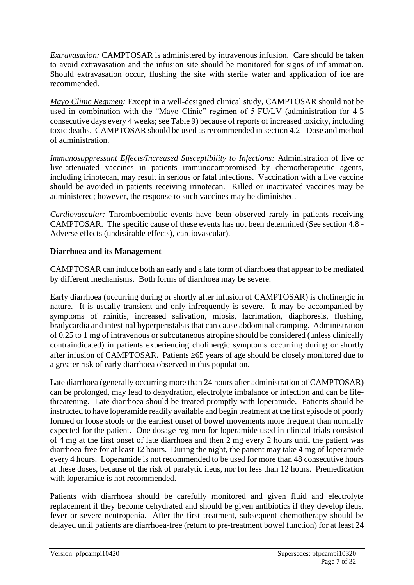*Extravasation:* CAMPTOSAR is administered by intravenous infusion. Care should be taken to avoid extravasation and the infusion site should be monitored for signs of inflammation. Should extravasation occur, flushing the site with sterile water and application of ice are recommended.

*Mayo Clinic Regimen:* Except in a well-designed clinical study, CAMPTOSAR should not be used in combination with the "Mayo Clinic" regimen of 5-FU/LV (administration for 4-5 consecutive days every 4 weeks; see Table 9) because of reports of increased toxicity, including toxic deaths. CAMPTOSAR should be used as recommended in section 4.2 - Dose and method of administration.

*Immunosuppressant Effects/Increased Susceptibility to Infections:* Administration of live or live-attenuated vaccines in patients immunocompromised by chemotherapeutic agents, including irinotecan, may result in serious or fatal infections. Vaccination with a live vaccine should be avoided in patients receiving irinotecan. Killed or inactivated vaccines may be administered; however, the response to such vaccines may be diminished.

*Cardiovascular:* Thromboembolic events have been observed rarely in patients receiving CAMPTOSAR. The specific cause of these events has not been determined (See section 4.8 - Adverse effects (undesirable effects), cardiovascular).

### **Diarrhoea and its Management**

CAMPTOSAR can induce both an early and a late form of diarrhoea that appear to be mediated by different mechanisms. Both forms of diarrhoea may be severe.

Early diarrhoea (occurring during or shortly after infusion of CAMPTOSAR) is cholinergic in nature. It is usually transient and only infrequently is severe. It may be accompanied by symptoms of rhinitis, increased salivation, miosis, lacrimation, diaphoresis, flushing, bradycardia and intestinal hyperperistalsis that can cause abdominal cramping. Administration of 0.25 to 1 mg of intravenous or subcutaneous atropine should be considered (unless clinically contraindicated) in patients experiencing cholinergic symptoms occurring during or shortly after infusion of CAMPTOSAR. Patients  $\geq 65$  years of age should be closely monitored due to a greater risk of early diarrhoea observed in this population.

Late diarrhoea (generally occurring more than 24 hours after administration of CAMPTOSAR) can be prolonged, may lead to dehydration, electrolyte imbalance or infection and can be lifethreatening. Late diarrhoea should be treated promptly with loperamide. Patients should be instructed to have loperamide readily available and begin treatment at the first episode of poorly formed or loose stools or the earliest onset of bowel movements more frequent than normally expected for the patient. One dosage regimen for loperamide used in clinical trials consisted of 4 mg at the first onset of late diarrhoea and then 2 mg every 2 hours until the patient was diarrhoea-free for at least 12 hours. During the night, the patient may take 4 mg of loperamide every 4 hours. Loperamide is not recommended to be used for more than 48 consecutive hours at these doses, because of the risk of paralytic ileus, nor for less than 12 hours. Premedication with loperamide is not recommended.

Patients with diarrhoea should be carefully monitored and given fluid and electrolyte replacement if they become dehydrated and should be given antibiotics if they develop ileus, fever or severe neutropenia. After the first treatment, subsequent chemotherapy should be delayed until patients are diarrhoea-free (return to pre-treatment bowel function) for at least 24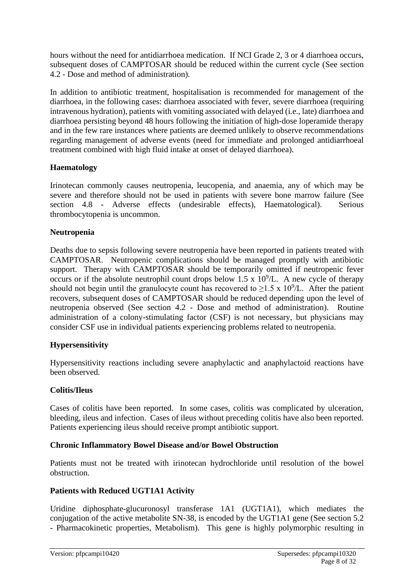hours without the need for antidiarrhoea medication. If NCI Grade 2, 3 or 4 diarrhoea occurs, subsequent doses of CAMPTOSAR should be reduced within the current cycle (See section 4.2 - Dose and method of administration).

In addition to antibiotic treatment, hospitalisation is recommended for management of the diarrhoea, in the following cases: diarrhoea associated with fever, severe diarrhoea (requiring intravenous hydration), patients with vomiting associated with delayed (i.e., late) diarrhoea and diarrhoea persisting beyond 48 hours following the initiation of high-dose loperamide therapy and in the few rare instances where patients are deemed unlikely to observe recommendations regarding management of adverse events (need for immediate and prolonged antidiarrhoeal treatment combined with high fluid intake at onset of delayed diarrhoea).

### **Haematology**

Irinotecan commonly causes neutropenia, leucopenia, and anaemia, any of which may be severe and therefore should not be used in patients with severe bone marrow failure (See section 4.8 - Adverse effects (undesirable effects), Haematological). Serious thrombocytopenia is uncommon.

### **Neutropenia**

Deaths due to sepsis following severe neutropenia have been reported in patients treated with CAMPTOSAR. Neutropenic complications should be managed promptly with antibiotic support. Therapy with CAMPTOSAR should be temporarily omitted if neutropenic fever occurs or if the absolute neutrophil count drops below 1.5 x  $10^9$ /L. A new cycle of therapy should not begin until the granulocyte count has recovered to  $\geq$ 1.5 x 10<sup>9</sup>/L. After the patient recovers, subsequent doses of CAMPTOSAR should be reduced depending upon the level of neutropenia observed (See section 4.2 - Dose and method of administration). Routine administration of a colony-stimulating factor (CSF) is not necessary, but physicians may consider CSF use in individual patients experiencing problems related to neutropenia.

### **Hypersensitivity**

Hypersensitivity reactions including severe anaphylactic and anaphylactoid reactions have been observed.

### **Colitis/Ileus**

Cases of colitis have been reported. In some cases, colitis was complicated by ulceration, bleeding, ileus and infection. Cases of ileus without preceding colitis have also been reported. Patients experiencing ileus should receive prompt antibiotic support.

### **Chronic Inflammatory Bowel Disease and/or Bowel Obstruction**

Patients must not be treated with irinotecan hydrochloride until resolution of the bowel obstruction.

### **Patients with Reduced UGT1A1 Activity**

Uridine diphosphate-glucuronosyl transferase 1A1 (UGT1A1), which mediates the conjugation of the active metabolite SN-38, is encoded by the UGT1A1 gene (See section 5.2 - Pharmacokinetic properties, Metabolism). This gene is highly polymorphic resulting in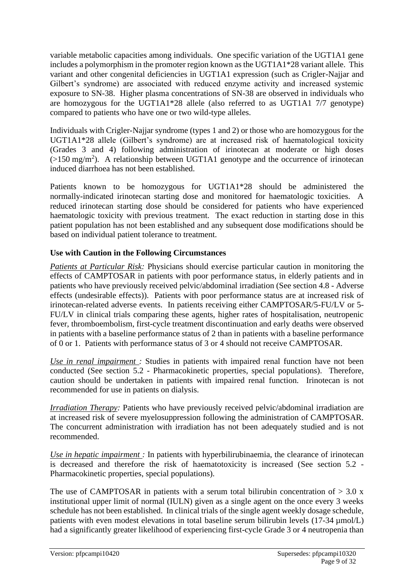variable metabolic capacities among individuals. One specific variation of the UGT1A1 gene includes a polymorphism in the promoter region known as the UGT1A1\*28 variant allele. This variant and other congenital deficiencies in UGT1A1 expression (such as Crigler-Najjar and Gilbert's syndrome) are associated with reduced enzyme activity and increased systemic exposure to SN-38. Higher plasma concentrations of SN-38 are observed in individuals who are homozygous for the UGT1A1\*28 allele (also referred to as UGT1A1 7/7 genotype) compared to patients who have one or two wild-type alleles.

Individuals with Crigler-Najjar syndrome (types 1 and 2) or those who are homozygous for the UGT1A1\*28 allele (Gilbert's syndrome) are at increased risk of haematological toxicity (Grades 3 and 4) following administration of irinotecan at moderate or high doses  $(>150 \text{ mg/m}^2)$ . A relationship between UGT1A1 genotype and the occurrence of irinotecan induced diarrhoea has not been established.

Patients known to be homozygous for UGT1A1\*28 should be administered the normally-indicated irinotecan starting dose and monitored for haematologic toxicities. A reduced irinotecan starting dose should be considered for patients who have experienced haematologic toxicity with previous treatment. The exact reduction in starting dose in this patient population has not been established and any subsequent dose modifications should be based on individual patient tolerance to treatment.

### **Use with Caution in the Following Circumstances**

*Patients at Particular Risk:* Physicians should exercise particular caution in monitoring the effects of CAMPTOSAR in patients with poor performance status, in elderly patients and in patients who have previously received pelvic/abdominal irradiation (See section 4.8 - Adverse effects (undesirable effects)). Patients with poor performance status are at increased risk of irinotecan-related adverse events. In patients receiving either CAMPTOSAR/5-FU/LV or 5- FU/LV in clinical trials comparing these agents, higher rates of hospitalisation, neutropenic fever, thromboembolism, first-cycle treatment discontinuation and early deaths were observed in patients with a baseline performance status of 2 than in patients with a baseline performance of 0 or 1. Patients with performance status of 3 or 4 should not receive CAMPTOSAR.

*Use in renal impairment :* Studies in patients with impaired renal function have not been conducted (See section 5.2 - Pharmacokinetic properties, special populations). Therefore, caution should be undertaken in patients with impaired renal function. Irinotecan is not recommended for use in patients on dialysis.

*Irradiation Therapy:* Patients who have previously received pelvic/abdominal irradiation are at increased risk of severe myelosuppression following the administration of CAMPTOSAR. The concurrent administration with irradiation has not been adequately studied and is not recommended.

*Use in hepatic impairment :* In patients with hyperbilirubinaemia, the clearance of irinotecan is decreased and therefore the risk of haematotoxicity is increased (See section 5.2 - Pharmacokinetic properties, special populations).

The use of CAMPTOSAR in patients with a serum total bilirubin concentration of  $> 3.0 \text{ x}$ institutional upper limit of normal (IULN) given as a single agent on the once every 3 weeks schedule has not been established. In clinical trials of the single agent weekly dosage schedule, patients with even modest elevations in total baseline serum bilirubin levels (17-34 µmol/L) had a significantly greater likelihood of experiencing first-cycle Grade 3 or 4 neutropenia than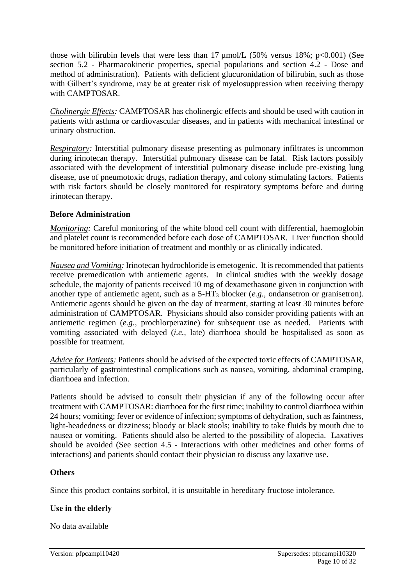those with bilirubin levels that were less than  $17 \mu$ mol/L (50% versus 18%; p<0.001) (See section 5.2 - Pharmacokinetic properties, special populations and section 4.2 - Dose and method of administration). Patients with deficient glucuronidation of bilirubin, such as those with Gilbert's syndrome, may be at greater risk of myelosuppression when receiving therapy with CAMPTOSAR.

*Cholinergic Effects:* CAMPTOSAR has cholinergic effects and should be used with caution in patients with asthma or cardiovascular diseases, and in patients with mechanical intestinal or urinary obstruction.

*Respiratory:* Interstitial pulmonary disease presenting as pulmonary infiltrates is uncommon during irinotecan therapy. Interstitial pulmonary disease can be fatal. Risk factors possibly associated with the development of interstitial pulmonary disease include pre-existing lung disease, use of pneumotoxic drugs, radiation therapy, and colony stimulating factors. Patients with risk factors should be closely monitored for respiratory symptoms before and during irinotecan therapy.

#### **Before Administration**

*Monitoring:* Careful monitoring of the white blood cell count with differential, haemoglobin and platelet count is recommended before each dose of CAMPTOSAR. Liver function should be monitored before initiation of treatment and monthly or as clinically indicated.

*Nausea and Vomiting:* Irinotecan hydrochloride is emetogenic. It is recommended that patients receive premedication with antiemetic agents. In clinical studies with the weekly dosage schedule, the majority of patients received 10 mg of dexamethasone given in conjunction with another type of antiemetic agent, such as a 5-HT<sup>3</sup> blocker (*e.g.,* ondansetron or granisetron). Antiemetic agents should be given on the day of treatment, starting at least 30 minutes before administration of CAMPTOSAR. Physicians should also consider providing patients with an antiemetic regimen (*e.g.,* prochlorperazine) for subsequent use as needed. Patients with vomiting associated with delayed (*i.e.,* late) diarrhoea should be hospitalised as soon as possible for treatment.

*Advice for Patients:* Patients should be advised of the expected toxic effects of CAMPTOSAR, particularly of gastrointestinal complications such as nausea, vomiting, abdominal cramping, diarrhoea and infection.

Patients should be advised to consult their physician if any of the following occur after treatment with CAMPTOSAR: diarrhoea for the first time; inability to control diarrhoea within 24 hours; vomiting; fever or evidence of infection; symptoms of dehydration, such as faintness, light-headedness or dizziness; bloody or black stools; inability to take fluids by mouth due to nausea or vomiting. Patients should also be alerted to the possibility of alopecia. Laxatives should be avoided (See section 4.5 - Interactions with other medicines and other forms of interactions) and patients should contact their physician to discuss any laxative use.

#### **Others**

Since this product contains sorbitol, it is unsuitable in hereditary fructose intolerance.

### **Use in the elderly**

No data available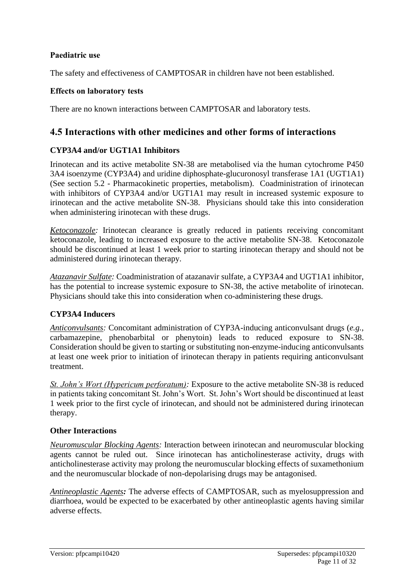#### **Paediatric use**

The safety and effectiveness of CAMPTOSAR in children have not been established.

#### **Effects on laboratory tests**

There are no known interactions between CAMPTOSAR and laboratory tests.

### **4.5 Interactions with other medicines and other forms of interactions**

#### **CYP3A4 and/or UGT1A1 Inhibitors**

Irinotecan and its active metabolite SN-38 are metabolised via the human cytochrome P450 3A4 isoenzyme (CYP3A4) and uridine diphosphate-glucuronosyl transferase 1A1 (UGT1A1) (See section 5.2 - Pharmacokinetic properties, metabolism). Coadministration of irinotecan with inhibitors of CYP3A4 and/or UGT1A1 may result in increased systemic exposure to irinotecan and the active metabolite SN-38. Physicians should take this into consideration when administering irinotecan with these drugs.

*Ketoconazole:* Irinotecan clearance is greatly reduced in patients receiving concomitant ketoconazole, leading to increased exposure to the active metabolite SN-38. Ketoconazole should be discontinued at least 1 week prior to starting irinotecan therapy and should not be administered during irinotecan therapy.

*Atazanavir Sulfate:* Coadministration of atazanavir sulfate, a CYP3A4 and UGT1A1 inhibitor, has the potential to increase systemic exposure to SN-38, the active metabolite of irinotecan. Physicians should take this into consideration when co-administering these drugs.

### **CYP3A4 Inducers**

*Anticonvulsants:* Concomitant administration of CYP3A-inducing anticonvulsant drugs (*e.g.,* carbamazepine, phenobarbital or phenytoin) leads to reduced exposure to SN-38. Consideration should be given to starting or substituting non-enzyme-inducing anticonvulsants at least one week prior to initiation of irinotecan therapy in patients requiring anticonvulsant treatment.

*St. John's Wort (Hypericum perforatum):* Exposure to the active metabolite SN-38 is reduced in patients taking concomitant St. John's Wort. St. John's Wort should be discontinued at least 1 week prior to the first cycle of irinotecan, and should not be administered during irinotecan therapy.

#### **Other Interactions**

*Neuromuscular Blocking Agents:* Interaction between irinotecan and neuromuscular blocking agents cannot be ruled out. Since irinotecan has anticholinesterase activity, drugs with anticholinesterase activity may prolong the neuromuscular blocking effects of suxamethonium and the neuromuscular blockade of non-depolarising drugs may be antagonised.

*Antineoplastic Agents:* The adverse effects of CAMPTOSAR, such as myelosuppression and diarrhoea, would be expected to be exacerbated by other antineoplastic agents having similar adverse effects.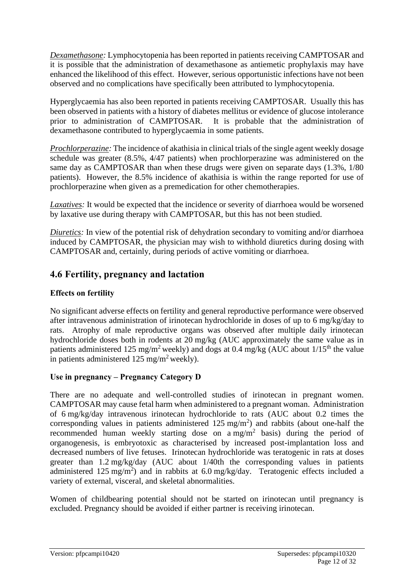*Dexamethasone:* Lymphocytopenia has been reported in patients receiving CAMPTOSAR and it is possible that the administration of dexamethasone as antiemetic prophylaxis may have enhanced the likelihood of this effect. However, serious opportunistic infections have not been observed and no complications have specifically been attributed to lymphocytopenia.

Hyperglycaemia has also been reported in patients receiving CAMPTOSAR. Usually this has been observed in patients with a history of diabetes mellitus or evidence of glucose intolerance<br>prior to administration of CAMPTOSAR. It is probable that the administration of prior to administration of CAMPTOSAR. dexamethasone contributed to hyperglycaemia in some patients.

*Prochlorperazine:* The incidence of akathisia in clinical trials of the single agent weekly dosage schedule was greater (8.5%, 4/47 patients) when prochlorperazine was administered on the same day as CAMPTOSAR than when these drugs were given on separate days (1.3%, 1/80 patients). However, the 8.5% incidence of akathisia is within the range reported for use of prochlorperazine when given as a premedication for other chemotherapies.

*Laxatives:* It would be expected that the incidence or severity of diarrhoea would be worsened by laxative use during therapy with CAMPTOSAR, but this has not been studied.

*Diuretics:* In view of the potential risk of dehydration secondary to vomiting and/or diarrhoea induced by CAMPTOSAR, the physician may wish to withhold diuretics during dosing with CAMPTOSAR and, certainly, during periods of active vomiting or diarrhoea.

# **4.6 Fertility, pregnancy and lactation**

### **Effects on fertility**

No significant adverse effects on fertility and general reproductive performance were observed after intravenous administration of irinotecan hydrochloride in doses of up to 6 mg/kg/day to rats. Atrophy of male reproductive organs was observed after multiple daily irinotecan hydrochloride doses both in rodents at 20 mg/kg (AUC approximately the same value as in patients administered 125 mg/m<sup>2</sup> weekly) and dogs at 0.4 mg/kg (AUC about  $1/15^{th}$  the value in patients administered 125 mg/m<sup>2</sup> weekly).

### **Use in pregnancy – Pregnancy Category D**

There are no adequate and well-controlled studies of irinotecan in pregnant women. CAMPTOSAR may cause fetal harm when administered to a pregnant woman. Administration of 6 mg/kg/day intravenous irinotecan hydrochloride to rats (AUC about 0.2 times the corresponding values in patients administered  $125 \text{ mg/m}^2$ ) and rabbits (about one-half the recommended human weekly starting dose on a mg/m<sup>2</sup> basis) during the period of organogenesis, is embryotoxic as characterised by increased post-implantation loss and decreased numbers of live fetuses. Irinotecan hydrochloride was teratogenic in rats at doses greater than 1.2 mg/kg/day (AUC about 1/40th the corresponding values in patients administered 125 mg/m<sup>2</sup>) and in rabbits at 6.0 mg/kg/day. Teratogenic effects included a variety of external, visceral, and skeletal abnormalities.

Women of childbearing potential should not be started on irinotecan until pregnancy is excluded. Pregnancy should be avoided if either partner is receiving irinotecan.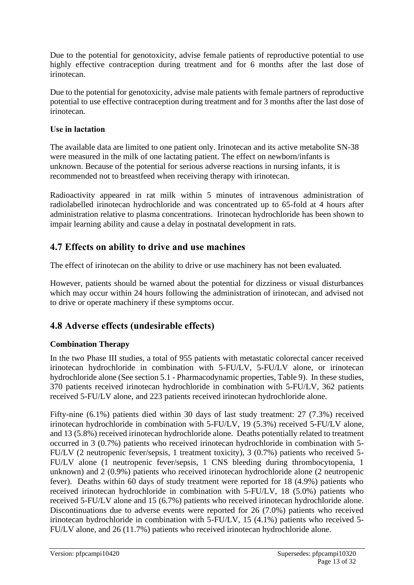Due to the potential for genotoxicity, advise female patients of reproductive potential to use highly effective contraception during treatment and for 6 months after the last dose of irinotecan.

Due to the potential for genotoxicity, advise male patients with female partners of reproductive potential to use effective contraception during treatment and for 3 months after the last dose of irinotecan*.*

### **Use in lactation**

The available data are limited to one patient only. Irinotecan and its active metabolite SN-38 were measured in the milk of one lactating patient. The effect on newborn/infants is unknown. Because of the potential for serious adverse reactions in nursing infants, it is recommended not to breastfeed when receiving therapy with irinotecan.

Radioactivity appeared in rat milk within 5 minutes of intravenous administration of radiolabelled irinotecan hydrochloride and was concentrated up to 65-fold at 4 hours after administration relative to plasma concentrations. Irinotecan hydrochloride has been shown to impair learning ability and cause a delay in postnatal development in rats.

# **4.7 Effects on ability to drive and use machines**

The effect of irinotecan on the ability to drive or use machinery has not been evaluated.

However, patients should be warned about the potential for dizziness or visual disturbances which may occur within 24 hours following the administration of irinotecan, and advised not to drive or operate machinery if these symptoms occur.

# **4.8 Adverse effects (undesirable effects)**

# **Combination Therapy**

In the two Phase III studies, a total of 955 patients with metastatic colorectal cancer received irinotecan hydrochloride in combination with 5-FU/LV, 5-FU/LV alone, or irinotecan hydrochloride alone (See section 5.1 - Pharmacodynamic properties, Table 9). In these studies, 370 patients received irinotecan hydrochloride in combination with 5-FU/LV, 362 patients received 5-FU/LV alone, and 223 patients received irinotecan hydrochloride alone.

Fifty-nine (6.1%) patients died within 30 days of last study treatment: 27 (7.3%) received irinotecan hydrochloride in combination with 5-FU/LV, 19 (5.3%) received 5-FU/LV alone, and 13 (5.8%) received irinotecan hydrochloride alone. Deaths potentially related to treatment occurred in 3 (0.7%) patients who received irinotecan hydrochloride in combination with 5- FU/LV (2 neutropenic fever/sepsis, 1 treatment toxicity), 3 (0.7%) patients who received 5- FU/LV alone (1 neutropenic fever/sepsis, 1 CNS bleeding during thrombocytopenia, 1 unknown) and 2 (0.9%) patients who received irinotecan hydrochloride alone (2 neutropenic fever). Deaths within 60 days of study treatment were reported for 18 (4.9%) patients who received irinotecan hydrochloride in combination with 5-FU/LV, 18 (5.0%) patients who received 5-FU/LV alone and 15 (6.7%) patients who received irinotecan hydrochloride alone. Discontinuations due to adverse events were reported for 26 (7.0%) patients who received irinotecan hydrochloride in combination with 5-FU/LV, 15 (4.1%) patients who received 5- FU/LV alone, and 26 (11.7%) patients who received irinotecan hydrochloride alone.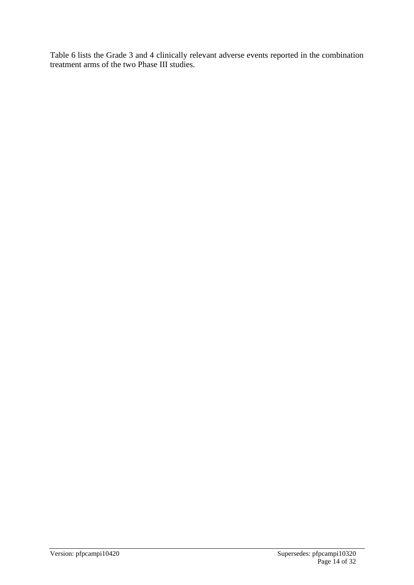Table 6 lists the Grade 3 and 4 clinically relevant adverse events reported in the combination treatment arms of the two Phase III studies.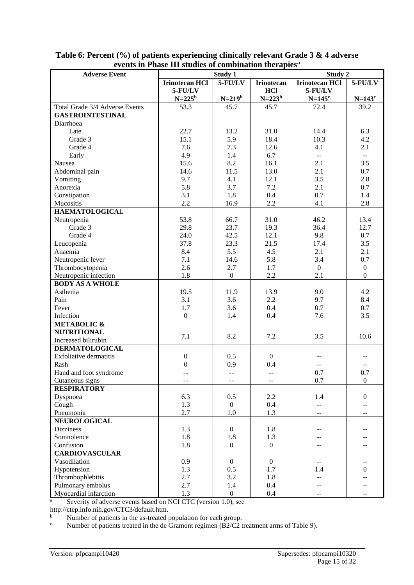| <b>Adverse Event</b>                            | сусно ні і назе тії зейснез от сонгоннатон тістаріся | <b>Study 1</b>              |                   | Study 2               |                           |
|-------------------------------------------------|------------------------------------------------------|-----------------------------|-------------------|-----------------------|---------------------------|
|                                                 | <b>Irinotecan HCl</b>                                | 5-FU/LV                     | <b>Irinotecan</b> | <b>Irinotecan HCl</b> | $5$ -FU/LV                |
|                                                 | 5-FU/LV                                              |                             | <b>HCl</b>        | $5$ - $FU/LV$         |                           |
|                                                 | $N = 225^b$                                          | $N = 219b$                  | $N = 223b$        | $N=145^{\circ}$       | $N=143c$                  |
| Total Grade 3/4 Adverse Events                  | 53.3                                                 | 45.7                        | 45.7              | 72.4                  | 39.2                      |
| <b>GASTROINTESTINAL</b>                         |                                                      |                             |                   |                       |                           |
| Diarrhoea                                       |                                                      |                             |                   |                       |                           |
| Late                                            | 22.7                                                 | 13.2                        | 31.0              | 14.4                  | 6.3                       |
| Grade 3                                         | 15.1                                                 | 5.9                         | 18.4              | 10.3                  | 4.2                       |
| Grade 4                                         | 7.6                                                  | 7.3                         | 12.6              | 4.1                   | 2.1                       |
| Early                                           | 4.9                                                  | 1.4                         | 6.7               | $\overline{a}$        | $\mathbb{Z}^{\mathbb{Z}}$ |
| Nausea                                          | 15.6                                                 | 8.2                         | 16.1              | 2.1                   | 3.5                       |
| Abdominal pain                                  | 14.6                                                 | 11.5                        | 13.0              | 2.1                   | 0.7                       |
| Vomiting                                        | 9.7                                                  | 4.1                         | 12.1              | 3.5                   | 2.8                       |
| Anorexia                                        | 5.8                                                  | 3.7                         | 7.2               | 2.1                   | 0.7                       |
| Constipation                                    | 3.1                                                  | 1.8                         | 0.4               | 0.7                   | 1.4                       |
| Mucositis                                       | 2.2                                                  | 16.9                        | 2.2               | 4.1                   | 2.8                       |
| <b>HAEMATOLOGICAL</b>                           |                                                      |                             |                   |                       |                           |
| Neutropenia                                     | 53.8                                                 | 66.7                        | 31.0              | 46.2                  | 13.4                      |
| Grade 3                                         | 29.8                                                 | 23.7                        | 19.3              | 36.4                  | 12.7                      |
| Grade 4                                         | 24.0                                                 | 42.5                        | 12.1              | 9.8                   | 0.7                       |
| Leucopenia                                      | 37.8                                                 | 23.3                        | 21.5              | 17.4                  | 3.5                       |
| Anaemia                                         | 8.4                                                  | 5.5                         | 4.5               | 2.1                   | 2.1                       |
| Neutropenic fever                               | 7.1                                                  | 14.6                        | 5.8               | 3.4                   | 0.7                       |
|                                                 | 2.6                                                  | 2.7                         | 1.7               | $\boldsymbol{0}$      | $\boldsymbol{0}$          |
| Thrombocytopenia                                | 1.8                                                  | $\boldsymbol{0}$            | 2.2               | 2.1                   | $\boldsymbol{0}$          |
| Neutropenic infection<br><b>BODY AS A WHOLE</b> |                                                      |                             |                   |                       |                           |
| Asthenia                                        | 19.5                                                 | 11.9                        | 13.9              | 9.0                   | 4.2                       |
| Pain                                            | 3.1                                                  | 3.6                         | 2.2               | 9.7                   | 8.4                       |
|                                                 | 1.7                                                  | 3.6                         | 0.4               | 0.7                   | 0.7                       |
| Fever                                           | $\boldsymbol{0}$                                     | 1.4                         | 0.4               | 7.6                   | 3.5                       |
| Infection<br><b>METABOLIC &amp;</b>             |                                                      |                             |                   |                       |                           |
| <b>NUTRITIONAL</b>                              |                                                      |                             |                   |                       |                           |
| Increased bilirubin                             | 7.1                                                  | 8.2                         | 7.2               | 3.5                   | 10.6                      |
| <b>DERMATOLOGICAL</b>                           |                                                      |                             |                   |                       |                           |
| <b>Exfoliative dermatitis</b>                   | $\boldsymbol{0}$                                     | 0.5                         | $\overline{0}$    |                       |                           |
| Rash                                            | $\boldsymbol{0}$                                     | 0.9                         | 0.4               |                       |                           |
| Hand and foot syndrome                          | $\overline{a}$                                       | $\mathbb{L}^{\mathbb{L}}$   | $\overline{a}$    | --<br>0.7             | --<br>0.7                 |
| Cutaneous signs                                 | $-$                                                  |                             |                   | 0.7                   | $\boldsymbol{0}$          |
| <b>RESPIRATORY</b>                              |                                                      | $\mathcal{L}_{\mathcal{F}}$ | $\sim$ $-$        |                       |                           |
| Dyspnoea                                        | 6.3                                                  | 0.5                         | 2.2               | 1.4                   | $\boldsymbol{0}$          |
| Cough                                           | 1.3                                                  | $\overline{0}$              | 0.4               | $\overline{a}$        | $\sim$                    |
| Pneumonia                                       | 2.7                                                  | 1.0                         | 1.3               | $- -$                 | $-$                       |
| <b>NEUROLOGICAL</b>                             |                                                      |                             |                   |                       |                           |
| <b>Dizziness</b>                                | 1.3                                                  | $\boldsymbol{0}$            | 1.8               |                       |                           |
| Somnolence                                      |                                                      | 1.8                         | 1.3               | --                    | --                        |
| Confusion                                       | 1.8<br>1.8                                           | $\boldsymbol{0}$            | $\boldsymbol{0}$  | $-1$                  | --                        |
|                                                 |                                                      |                             |                   | $-$                   | $-$                       |
| <b>CARDIOVASCULAR</b><br>Vasodilation           | 0.9                                                  | $\mathbf{0}$                | $\overline{0}$    |                       |                           |
|                                                 | 1.3                                                  | 0.5                         | 1.7               | 1.4                   | $\boldsymbol{0}$          |
| Hypotension                                     | 2.7                                                  | 3.2                         | 1.8               |                       |                           |
| Thrombophlebitis<br>Pulmonary embolus           | 2.7                                                  | 1.4                         | 0.4               | --                    |                           |
|                                                 |                                                      |                             |                   |                       |                           |
| Myocardial infarction                           | 1.3                                                  | $\boldsymbol{0}$            | 0.4               | $- -$                 | --                        |

**Table 6: Percent (%) of patients experiencing clinically relevant Grade 3 & 4 adverse events in Phase III studies of combination therapies<sup>a</sup>**

<sup>a</sup> Severity of adverse events based on NCI CTC (version 1.0), see

http://ctep.info.nih.gov/CTC3/default.htm.

b Number of patients in the as-treated population for each group.<br>Number of patients treated in the de Gramont regimen  $(B2/C2)$ 

Number of patients treated in the de Gramont regimen (B2/C2 treatment arms of Table 9).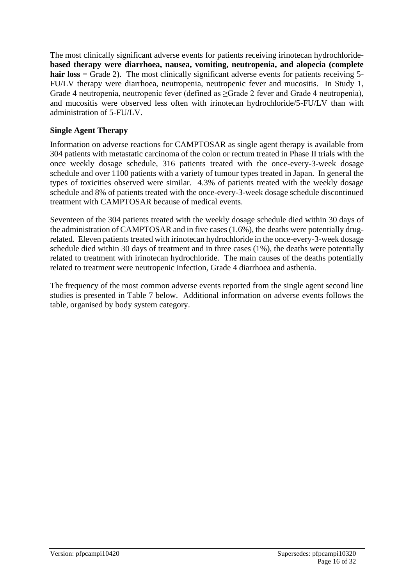The most clinically significant adverse events for patients receiving irinotecan hydrochloride**based therapy were diarrhoea, nausea, vomiting, neutropenia, and alopecia (complete**  hair loss = Grade 2). The most clinically significant adverse events for patients receiving 5-FU/LV therapy were diarrhoea, neutropenia, neutropenic fever and mucositis. In Study 1, Grade 4 neutropenia, neutropenic fever (defined as ≥Grade 2 fever and Grade 4 neutropenia), and mucositis were observed less often with irinotecan hydrochloride/5-FU/LV than with administration of 5-FU/LV.

### **Single Agent Therapy**

Information on adverse reactions for CAMPTOSAR as single agent therapy is available from 304 patients with metastatic carcinoma of the colon or rectum treated in Phase II trials with the once weekly dosage schedule, 316 patients treated with the once-every-3-week dosage schedule and over 1100 patients with a variety of tumour types treated in Japan. In general the types of toxicities observed were similar. 4.3% of patients treated with the weekly dosage schedule and 8% of patients treated with the once-every-3-week dosage schedule discontinued treatment with CAMPTOSAR because of medical events.

Seventeen of the 304 patients treated with the weekly dosage schedule died within 30 days of the administration of CAMPTOSAR and in five cases (1.6%), the deaths were potentially drugrelated. Eleven patients treated with irinotecan hydrochloride in the once-every-3-week dosage schedule died within 30 days of treatment and in three cases (1%), the deaths were potentially related to treatment with irinotecan hydrochloride. The main causes of the deaths potentially related to treatment were neutropenic infection, Grade 4 diarrhoea and asthenia.

The frequency of the most common adverse events reported from the single agent second line studies is presented in Table 7 below. Additional information on adverse events follows the table, organised by body system category.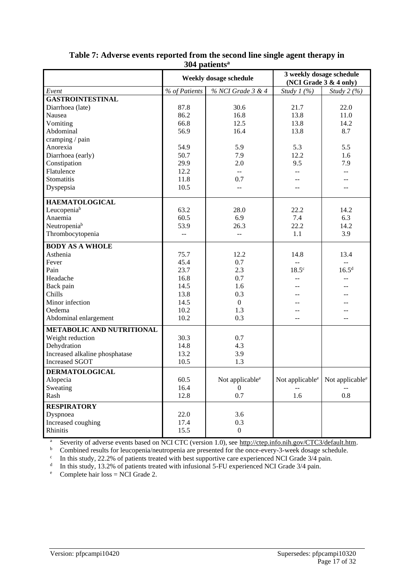|                                | $\cup$ $\top$ puticing | 3 weekly dosage schedule    |                             |                        |
|--------------------------------|------------------------|-----------------------------|-----------------------------|------------------------|
|                                | Weekly dosage schedule |                             |                             | (NCI Grade 3 & 4 only) |
| Event                          | % of Patients          | % NCI Grade 3 & 4           | Study $1\,(%)$              | Study $2(%)$           |
| <b>GASTROINTESTINAL</b>        |                        |                             |                             |                        |
| Diarrhoea (late)               | 87.8                   | 30.6                        | 21.7                        | 22.0                   |
| Nausea                         | 86.2                   | 16.8                        | 13.8                        | 11.0                   |
| Vomiting                       | 66.8                   | 12.5                        | 13.8                        | 14.2                   |
| Abdominal                      | 56.9                   | 16.4                        | 13.8                        | 8.7                    |
| cramping / pain                |                        |                             |                             |                        |
| Anorexia                       | 54.9                   | 5.9                         | 5.3                         | 5.5                    |
| Diarrhoea (early)              | 50.7                   | 7.9                         | 12.2                        | 1.6                    |
| Constipation                   | 29.9                   | 2.0                         | 9.5                         | 7.9                    |
| Flatulence                     | 12.2                   | $\mathbf{u} = \mathbf{v}$   |                             | $-$                    |
| Stomatitis                     | 11.8                   | 0.7                         |                             |                        |
| Dyspepsia                      | 10.5                   | --                          |                             |                        |
| <b>HAEMATOLOGICAL</b>          |                        |                             |                             |                        |
| Leucopeniab                    | 63.2                   | 28.0                        | 22.2                        | 14.2                   |
| Anaemia                        | 60.5                   | 6.9                         | 7.4                         | 6.3                    |
| Neutropenia <sup>b</sup>       | 53.9                   | 26.3                        | 22.2                        | 14.2                   |
| Thrombocytopenia               |                        | $-$                         | 1.1                         | 3.9                    |
| <b>BODY AS A WHOLE</b>         |                        |                             |                             |                        |
| Asthenia                       | 75.7                   | 12.2                        | 14.8                        | 13.4                   |
| Fever                          | 45.4                   | 0.7                         | $\overline{a}$              |                        |
| Pain                           | 23.7                   | 2.3                         | 18.5 <sup>c</sup>           | 16.5 <sup>d</sup>      |
| Headache                       | 16.8                   | 0.7                         |                             |                        |
| Back pain                      | 14.5                   | 1.6                         |                             |                        |
| Chills                         | 13.8                   | 0.3                         |                             |                        |
| Minor infection                | 14.5                   | $\overline{0}$              |                             |                        |
| Oedema                         | 10.2                   | 1.3                         |                             |                        |
| Abdominal enlargement          | 10.2                   | 0.3                         |                             | --                     |
|                                |                        |                             |                             |                        |
| METABOLIC AND NUTRITIONAL      |                        |                             |                             |                        |
| Weight reduction               | 30.3                   | 0.7                         |                             |                        |
| Dehydration                    | 14.8                   | 4.3                         |                             |                        |
| Increased alkaline phosphatase | 13.2                   | 3.9                         |                             |                        |
| <b>Increased SGOT</b>          | 10.5                   | 1.3                         |                             |                        |
| DERMATOLOGICAL                 |                        |                             |                             |                        |
| Alopecia                       | 60.5                   | Not applicable <sup>e</sup> | Not applicable <sup>e</sup> | Not applicable $e$     |
| Sweating                       | 16.4                   | $\Omega$                    |                             |                        |
| Rash                           | 12.8                   | 0.7                         | 1.6                         | 0.8                    |
| <b>RESPIRATORY</b>             |                        |                             |                             |                        |
| Dyspnoea                       | 22.0                   | 3.6                         |                             |                        |
| Increased coughing             | 17.4                   | 0.3                         |                             |                        |
| Rhinitis                       | 15.5                   | $\boldsymbol{0}$            |                             |                        |

#### **Table 7: Adverse events reported from the second line single agent therapy in 304 patients<sup>a</sup>**

<sup>a</sup> Severity of adverse events based on NCI CTC (version 1.0), see [http://ctep.info.nih.gov/CTC3/default.htm.](http://ctep.info.nih.gov/CTC3/default.htm)

**b** Combined results for leucopenia/neutropenia are presented for the once-every-3-week dosage schedule.

<sup>c</sup> In this study, 22.2% of patients treated with best supportive care experienced NCI Grade 3/4 pain.

<sup>d</sup> In this study, 13.2% of patients treated with infusional 5-FU experienced NCI Grade 3/4 pain.

<sup>e</sup> Complete hair loss = NCI Grade 2.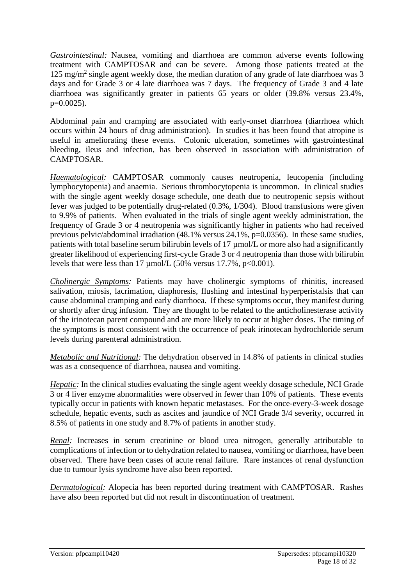*Gastrointestinal:* Nausea, vomiting and diarrhoea are common adverse events following treatment with CAMPTOSAR and can be severe. Among those patients treated at the 125 mg/m<sup>2</sup> single agent weekly dose, the median duration of any grade of late diarrhoea was 3 days and for Grade 3 or 4 late diarrhoea was 7 days. The frequency of Grade 3 and 4 late diarrhoea was significantly greater in patients 65 years or older (39.8% versus 23.4%, p=0.0025).

Abdominal pain and cramping are associated with early-onset diarrhoea (diarrhoea which occurs within 24 hours of drug administration). In studies it has been found that atropine is useful in ameliorating these events. Colonic ulceration, sometimes with gastrointestinal bleeding, ileus and infection, has been observed in association with administration of CAMPTOSAR.

*Haematological:* CAMPTOSAR commonly causes neutropenia, leucopenia (including lymphocytopenia) and anaemia. Serious thrombocytopenia is uncommon. In clinical studies with the single agent weekly dosage schedule, one death due to neutropenic sepsis without fever was judged to be potentially drug-related (0.3%, 1/304). Blood transfusions were given to 9.9% of patients. When evaluated in the trials of single agent weekly administration, the frequency of Grade 3 or 4 neutropenia was significantly higher in patients who had received previous pelvic/abdominal irradiation (48.1% versus 24.1%, p=0.0356). In these same studies, patients with total baseline serum bilirubin levels of 17  $\mu$ mol/L or more also had a significantly greater likelihood of experiencing first-cycle Grade 3 or 4 neutropenia than those with bilirubin levels that were less than  $17 \mu$ mol/L (50% versus 17.7%, p<0.001).

*Cholinergic Symptoms:* Patients may have cholinergic symptoms of rhinitis, increased salivation, miosis, lacrimation, diaphoresis, flushing and intestinal hyperperistalsis that can cause abdominal cramping and early diarrhoea. If these symptoms occur, they manifest during or shortly after drug infusion. They are thought to be related to the anticholinesterase activity of the irinotecan parent compound and are more likely to occur at higher doses. The timing of the symptoms is most consistent with the occurrence of peak irinotecan hydrochloride serum levels during parenteral administration.

*Metabolic and Nutritional:* The dehydration observed in 14.8% of patients in clinical studies was as a consequence of diarrhoea, nausea and vomiting.

*Hepatic:* In the clinical studies evaluating the single agent weekly dosage schedule, NCI Grade 3 or 4 liver enzyme abnormalities were observed in fewer than 10% of patients. These events typically occur in patients with known hepatic metastases. For the once-every-3-week dosage schedule, hepatic events, such as ascites and jaundice of NCI Grade 3/4 severity, occurred in 8.5% of patients in one study and 8.7% of patients in another study.

*Renal:* Increases in serum creatinine or blood urea nitrogen, generally attributable to complications of infection or to dehydration related to nausea, vomiting or diarrhoea, have been observed. There have been cases of acute renal failure. Rare instances of renal dysfunction due to tumour lysis syndrome have also been reported.

*Dermatological:* Alopecia has been reported during treatment with CAMPTOSAR. Rashes have also been reported but did not result in discontinuation of treatment.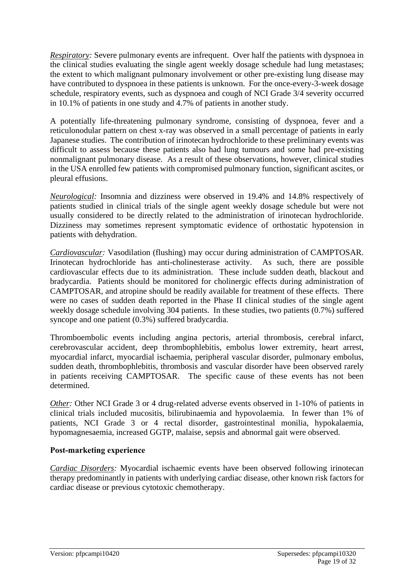*Respiratory:* Severe pulmonary events are infrequent. Over half the patients with dyspnoea in the clinical studies evaluating the single agent weekly dosage schedule had lung metastases; the extent to which malignant pulmonary involvement or other pre-existing lung disease may have contributed to dyspnoea in these patients is unknown. For the once-every-3-week dosage schedule, respiratory events, such as dyspnoea and cough of NCI Grade 3/4 severity occurred in 10.1% of patients in one study and 4.7% of patients in another study.

A potentially life-threatening pulmonary syndrome, consisting of dyspnoea, fever and a reticulonodular pattern on chest x-ray was observed in a small percentage of patients in early Japanese studies. The contribution of irinotecan hydrochloride to these preliminary events was difficult to assess because these patients also had lung tumours and some had pre-existing nonmalignant pulmonary disease. As a result of these observations, however, clinical studies in the USA enrolled few patients with compromised pulmonary function, significant ascites, or pleural effusions.

*Neurological:* Insomnia and dizziness were observed in 19.4% and 14.8% respectively of patients studied in clinical trials of the single agent weekly dosage schedule but were not usually considered to be directly related to the administration of irinotecan hydrochloride. Dizziness may sometimes represent symptomatic evidence of orthostatic hypotension in patients with dehydration.

*Cardiovascular:* Vasodilation (flushing) may occur during administration of CAMPTOSAR. Irinotecan hydrochloride has anti-cholinesterase activity. As such, there are possible cardiovascular effects due to its administration. These include sudden death, blackout and bradycardia. Patients should be monitored for cholinergic effects during administration of CAMPTOSAR, and atropine should be readily available for treatment of these effects. There were no cases of sudden death reported in the Phase II clinical studies of the single agent weekly dosage schedule involving 304 patients. In these studies, two patients (0.7%) suffered syncope and one patient (0.3%) suffered bradycardia.

Thromboembolic events including angina pectoris, arterial thrombosis, cerebral infarct, cerebrovascular accident, deep thrombophlebitis, embolus lower extremity, heart arrest, myocardial infarct, myocardial ischaemia, peripheral vascular disorder, pulmonary embolus, sudden death, thrombophlebitis, thrombosis and vascular disorder have been observed rarely in patients receiving CAMPTOSAR. The specific cause of these events has not been determined.

*Other:* Other NCI Grade 3 or 4 drug-related adverse events observed in 1-10% of patients in clinical trials included mucositis, bilirubinaemia and hypovolaemia. In fewer than 1% of patients, NCI Grade 3 or 4 rectal disorder, gastrointestinal monilia, hypokalaemia, hypomagnesaemia, increased GGTP, malaise, sepsis and abnormal gait were observed.

### **Post-marketing experience**

*Cardiac Disorders:* Myocardial ischaemic events have been observed following irinotecan therapy predominantly in patients with underlying cardiac disease, other known risk factors for cardiac disease or previous cytotoxic chemotherapy.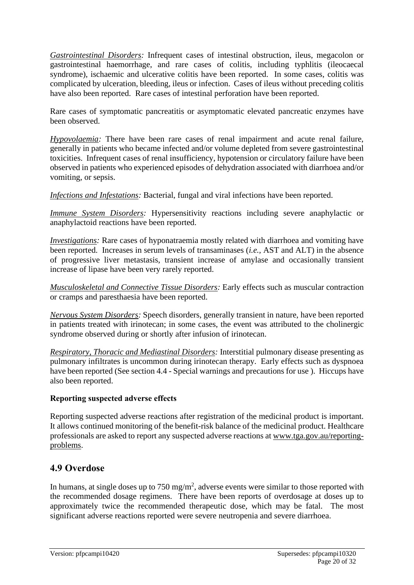*Gastrointestinal Disorders:* Infrequent cases of intestinal obstruction, ileus, megacolon or gastrointestinal haemorrhage, and rare cases of colitis, including typhlitis (ileocaecal syndrome), ischaemic and ulcerative colitis have been reported. In some cases, colitis was complicated by ulceration, bleeding, ileus or infection. Cases of ileus without preceding colitis have also been reported. Rare cases of intestinal perforation have been reported.

Rare cases of symptomatic pancreatitis or asymptomatic elevated pancreatic enzymes have been observed.

*Hypovolaemia:* There have been rare cases of renal impairment and acute renal failure, generally in patients who became infected and/or volume depleted from severe gastrointestinal toxicities. Infrequent cases of renal insufficiency, hypotension or circulatory failure have been observed in patients who experienced episodes of dehydration associated with diarrhoea and/or vomiting, or sepsis.

*Infections and Infestations:* Bacterial, fungal and viral infections have been reported.

*Immune System Disorders:* Hypersensitivity reactions including severe anaphylactic or anaphylactoid reactions have been reported.

*Investigations:* Rare cases of hyponatraemia mostly related with diarrhoea and vomiting have been reported. Increases in serum levels of transaminases (*i.e.,* AST and ALT) in the absence of progressive liver metastasis, transient increase of amylase and occasionally transient increase of lipase have been very rarely reported.

*Musculoskeletal and Connective Tissue Disorders:* Early effects such as muscular contraction or cramps and paresthaesia have been reported.

*Nervous System Disorders:* Speech disorders, generally transient in nature, have been reported in patients treated with irinotecan; in some cases, the event was attributed to the cholinergic syndrome observed during or shortly after infusion of irinotecan.

*Respiratory, Thoracic and Mediastinal Disorders:* Interstitial pulmonary disease presenting as pulmonary infiltrates is uncommon during irinotecan therapy. Early effects such as dyspnoea have been reported (See section 4.4 - Special warnings and precautions for use ). Hiccups have also been reported.

### **Reporting suspected adverse effects**

Reporting suspected adverse reactions after registration of the medicinal product is important. It allows continued monitoring of the benefit-risk balance of the medicinal product. Healthcare professionals are asked to report any suspected adverse reactions at [www.tga.gov.au/reporting](http://www.tga.gov.au/reporting-problems)[problems.](http://www.tga.gov.au/reporting-problems)

# **4.9 Overdose**

In humans, at single doses up to  $750 \text{ mg/m}^2$ , adverse events were similar to those reported with the recommended dosage regimens. There have been reports of overdosage at doses up to approximately twice the recommended therapeutic dose, which may be fatal. The most significant adverse reactions reported were severe neutropenia and severe diarrhoea.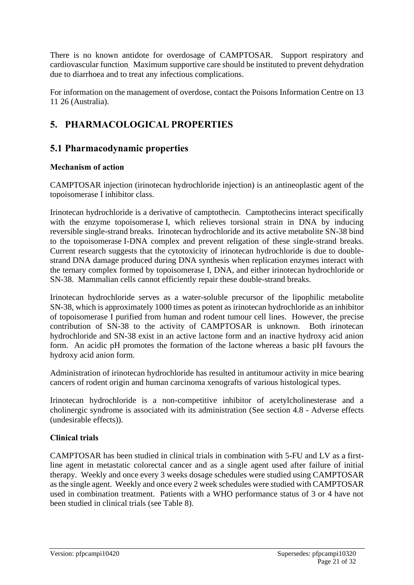There is no known antidote for overdosage of CAMPTOSAR. Support respiratory and cardiovascular function. Maximum supportive care should be instituted to prevent dehydration due to diarrhoea and to treat any infectious complications.

For information on the management of overdose, contact the Poisons Information Centre on 13 11 26 (Australia).

# **5. PHARMACOLOGICAL PROPERTIES**

# **5.1 Pharmacodynamic properties**

### **Mechanism of action**

CAMPTOSAR injection (irinotecan hydrochloride injection) is an antineoplastic agent of the topoisomerase I inhibitor class.

Irinotecan hydrochloride is a derivative of camptothecin. Camptothecins interact specifically with the enzyme topoisomerase I, which relieves torsional strain in DNA by inducing reversible single-strand breaks. Irinotecan hydrochloride and its active metabolite SN-38 bind to the topoisomerase I-DNA complex and prevent religation of these single-strand breaks. Current research suggests that the cytotoxicity of irinotecan hydrochloride is due to doublestrand DNA damage produced during DNA synthesis when replication enzymes interact with the ternary complex formed by topoisomerase I, DNA, and either irinotecan hydrochloride or SN-38. Mammalian cells cannot efficiently repair these double-strand breaks.

Irinotecan hydrochloride serves as a water-soluble precursor of the lipophilic metabolite SN-38, which is approximately 1000 times as potent as irinotecan hydrochloride as an inhibitor of topoisomerase I purified from human and rodent tumour cell lines. However, the precise contribution of SN-38 to the activity of CAMPTOSAR is unknown. Both irinotecan hydrochloride and SN-38 exist in an active lactone form and an inactive hydroxy acid anion form. An acidic pH promotes the formation of the lactone whereas a basic pH favours the hydroxy acid anion form.

Administration of irinotecan hydrochloride has resulted in antitumour activity in mice bearing cancers of rodent origin and human carcinoma xenografts of various histological types.

Irinotecan hydrochloride is a non-competitive inhibitor of acetylcholinesterase and a cholinergic syndrome is associated with its administration (See section 4.8 - Adverse effects (undesirable effects)).

### **Clinical trials**

CAMPTOSAR has been studied in clinical trials in combination with 5-FU and LV as a firstline agent in metastatic colorectal cancer and as a single agent used after failure of initial therapy. Weekly and once every 3 weeks dosage schedules were studied using CAMPTOSAR as the single agent. Weekly and once every 2 week schedules were studied with CAMPTOSAR used in combination treatment. Patients with a WHO performance status of 3 or 4 have not been studied in clinical trials (see Table 8).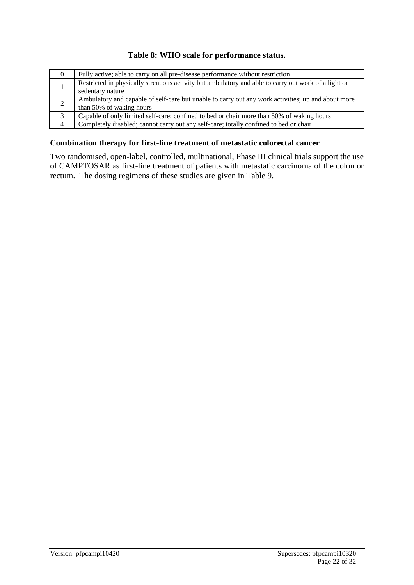#### **Table 8: WHO scale for performance status.**

| $\theta$ | Fully active; able to carry on all pre-disease performance without restriction                      |
|----------|-----------------------------------------------------------------------------------------------------|
|          | Restricted in physically strenuous activity but ambulatory and able to carry out work of a light or |
|          | sedentary nature                                                                                    |
| 2        | Ambulatory and capable of self-care but unable to carry out any work activities; up and about more  |
|          | than 50% of waking hours                                                                            |
| 3        | Capable of only limited self-care; confined to bed or chair more than 50% of waking hours           |
|          | Completely disabled; cannot carry out any self-care; totally confined to bed or chair               |

#### **Combination therapy for first-line treatment of metastatic colorectal cancer**

Two randomised, open-label, controlled, multinational, Phase III clinical trials support the use of CAMPTOSAR as first-line treatment of patients with metastatic carcinoma of the colon or rectum. The dosing regimens of these studies are given in Table 9.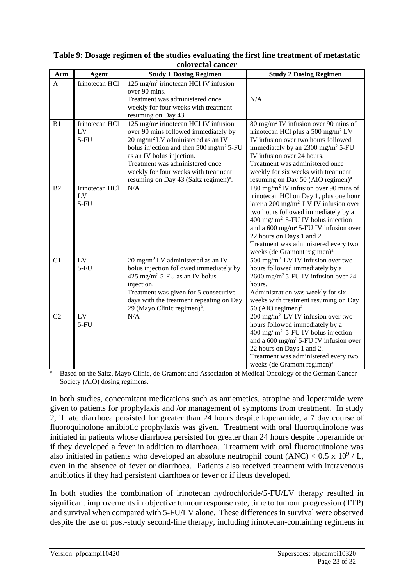|                |                 | coloi ectal callcel                                                     |                                                                                                   |
|----------------|-----------------|-------------------------------------------------------------------------|---------------------------------------------------------------------------------------------------|
| Arm            | <b>Agent</b>    | <b>Study 1 Dosing Regimen</b>                                           | <b>Study 2 Dosing Regimen</b>                                                                     |
| $\mathsf{A}$   | Irinotecan HCl  | 125 mg/m <sup>2</sup> irinotecan HCl IV infusion<br>over 90 mins.       |                                                                                                   |
|                |                 | Treatment was administered once<br>weekly for four weeks with treatment | N/A                                                                                               |
|                |                 | resuming on Day 43.                                                     |                                                                                                   |
| B1             | Irinotecan HCl  | 125 mg/m <sup>2</sup> irinotecan HCl IV infusion                        | 80 mg/m <sup>2</sup> IV infusion over 90 mins of                                                  |
|                | LV              | over 90 mins followed immediately by                                    | irinotecan HCl plus a 500 mg/m <sup>2</sup> LV                                                    |
|                | $5-FU$          | $20 \text{ mg/m}^2$ LV administered as an IV                            | IV infusion over two hours followed                                                               |
|                |                 | bolus injection and then $500 \text{ mg/m}^2$ 5-FU                      | immediately by an $2300 \text{ mg/m}^2$ 5-FU                                                      |
|                |                 | as an IV bolus injection.                                               | IV infusion over 24 hours.                                                                        |
|                |                 | Treatment was administered once                                         | Treatment was administered once                                                                   |
|                |                 | weekly for four weeks with treatment                                    | weekly for six weeks with treatment                                                               |
|                |                 | resuming on Day 43 (Saltz regimen) <sup>a</sup> .                       | resuming on Day 50 (AIO regimen) <sup>a</sup>                                                     |
| B <sub>2</sub> | Irinotecan HCl  | N/A                                                                     | 180 mg/m <sup>2</sup> IV infusion over 90 mins of                                                 |
|                | LV              |                                                                         | irinotecan HCl on Day 1, plus one hour                                                            |
|                | $5-FU$          |                                                                         | later a 200 mg/m <sup>2</sup> LV IV infusion over                                                 |
|                |                 |                                                                         | two hours followed immediately by a                                                               |
|                |                 |                                                                         | 400 mg/m <sup>2</sup> 5-FU IV bolus injection<br>and a $600 \text{ mg/m}^2$ 5-FU IV infusion over |
|                |                 |                                                                         | 22 hours on Days 1 and 2.                                                                         |
|                |                 |                                                                         | Treatment was administered every two                                                              |
|                |                 |                                                                         | weeks (de Gramont regimen) <sup>a</sup>                                                           |
| C <sub>1</sub> | LV              | $20 \text{ mg/m}^2$ LV administered as an IV                            | 500 mg/m <sup>2</sup> LV IV infusion over two                                                     |
|                | $5-FU$          | bolus injection followed immediately by                                 | hours followed immediately by a                                                                   |
|                |                 | 425 mg/m <sup>2</sup> 5-FU as an IV bolus                               | 2600 mg/m <sup>2</sup> 5-FU IV infusion over 24                                                   |
|                |                 | injection.                                                              | hours.                                                                                            |
|                |                 | Treatment was given for 5 consecutive                                   | Administration was weekly for six                                                                 |
|                |                 | days with the treatment repeating on Day                                | weeks with treatment resuming on Day                                                              |
|                |                 | 29 (Mayo Clinic regimen) <sup>a</sup> .                                 | 50 (AIO regimen) <sup>a</sup>                                                                     |
| C <sub>2</sub> | $\overline{LV}$ | N/A                                                                     | $200$ mg/m <sup>2</sup> LV IV infusion over two                                                   |
|                | $5-FU$          |                                                                         | hours followed immediately by a                                                                   |
|                |                 |                                                                         | 400 mg/m <sup>2</sup> 5-FU IV bolus injection                                                     |
|                |                 |                                                                         | and a $600 \text{ mg/m}^2$ 5-FU IV infusion over                                                  |
|                |                 |                                                                         | 22 hours on Days 1 and 2.                                                                         |
|                |                 |                                                                         | Treatment was administered every two                                                              |
|                |                 |                                                                         | weeks (de Gramont regimen) <sup>a</sup>                                                           |

#### **Table 9: Dosage regimen of the studies evaluating the first line treatment of metastatic colorectal cancer**

<sup>a</sup> Based on the Saltz, Mayo Clinic, de Gramont and Association of Medical Oncology of the German Cancer Society (AIO) dosing regimens.

In both studies, concomitant medications such as antiemetics, atropine and loperamide were given to patients for prophylaxis and /or management of symptoms from treatment. In study 2, if late diarrhoea persisted for greater than 24 hours despite loperamide, a 7 day course of fluoroquinolone antibiotic prophylaxis was given. Treatment with oral fluoroquinolone was initiated in patients whose diarrhoea persisted for greater than 24 hours despite loperamide or if they developed a fever in addition to diarrhoea. Treatment with oral fluoroquinolone was also initiated in patients who developed an absolute neutrophil count  $(ANC) < 0.5 \times 10^9$  / L, even in the absence of fever or diarrhoea. Patients also received treatment with intravenous antibiotics if they had persistent diarrhoea or fever or if ileus developed.

In both studies the combination of irinotecan hydrochloride/5-FU/LV therapy resulted in significant improvements in objective tumour response rate, time to tumour progression (TTP) and survival when compared with 5-FU/LV alone. These differences in survival were observed despite the use of post-study second-line therapy, including irinotecan-containing regimens in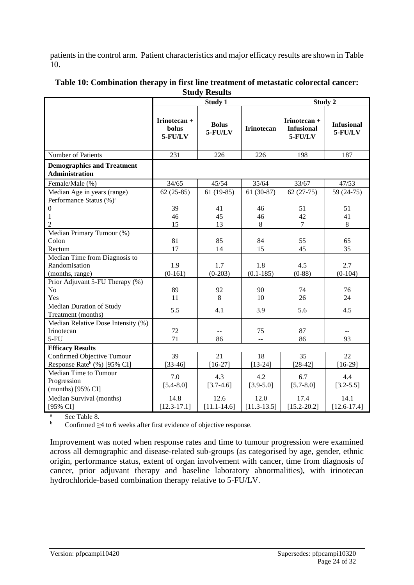patients in the control arm. Patient characteristics and major efficacy results are shown in Table 10.

| эшиу кезинэ                                                                |                                  |                         |                         |                                              |                              |  |  |
|----------------------------------------------------------------------------|----------------------------------|-------------------------|-------------------------|----------------------------------------------|------------------------------|--|--|
|                                                                            | Study 1                          |                         |                         | <b>Study 2</b>                               |                              |  |  |
|                                                                            | Irinotecan +<br>bolus<br>5-FU/LV | <b>Bolus</b><br>5-FU/LV | <b>Irinotecan</b>       | Irinotecan +<br><b>Infusional</b><br>5-FU/LV | <b>Infusional</b><br>5-FU/LV |  |  |
| Number of Patients                                                         | 231                              | 226                     | 226                     | 198                                          | 187                          |  |  |
| <b>Demographics and Treatment</b><br><b>Administration</b>                 |                                  |                         |                         |                                              |                              |  |  |
| Female/Male (%)                                                            | 34/65                            | 45/54                   | 35/64                   | 33/67                                        | 47/53                        |  |  |
| Median Age in years (range)                                                | $62(25-85)$                      | $61(19-85)$             | $61(30-87)$             | $62(27-75)$                                  | 59 (24-75)                   |  |  |
| Performance Status (%) <sup>a</sup><br>$\mathbf{0}$<br>1<br>$\overline{2}$ | 39<br>46<br>15                   | 41<br>45<br>13          | 46<br>46<br>8           | 51<br>42<br>$\tau$                           | 51<br>41<br>$8\,$            |  |  |
| Median Primary Tumour (%)                                                  |                                  |                         |                         |                                              |                              |  |  |
| Colon<br>Rectum                                                            | 81<br>17                         | 85<br>14                | 84<br>15                | 55<br>45                                     | 65<br>35                     |  |  |
| Median Time from Diagnosis to<br>Randomisation<br>(months, range)          | 1.9<br>$(0-161)$                 | 1.7<br>$(0-203)$        | 1.8<br>$(0.1 - 185)$    | 4.5<br>$(0-88)$                              | 2.7<br>$(0-104)$             |  |  |
| Prior Adjuvant 5-FU Therapy (%)<br>N <sub>o</sub><br>Yes                   | 89<br>11                         | 92<br>8                 | 90<br>10                | 74<br>26                                     | 76<br>24                     |  |  |
| Median Duration of Study<br>Treatment (months)                             | 5.5                              | 4.1                     | 3.9                     | 5.6                                          | 4.5                          |  |  |
| Median Relative Dose Intensity (%)<br>Irinotecan<br>$5-FU$                 | 72<br>71                         | $-$<br>86               | 75<br>$\equiv$          | 87<br>86                                     | $-$<br>93                    |  |  |
| <b>Efficacy Results</b>                                                    |                                  |                         |                         |                                              |                              |  |  |
| Confirmed Objective Tumour<br>Response Rate <sup>b</sup> (%) [95% CI]      | 39<br>$[33-46]$                  | 21<br>$[16-27]$         | 18<br>$[13 - 24]$       | 35<br>$[28-42]$                              | 22<br>$[16-29]$              |  |  |
| Median Time to Tumour<br>Progression<br>(months) [95% CI]                  | 7.0<br>$[5.4 - 8.0]$             | 4.3<br>$[3.7-4.6]$      | 4.2<br>$[3.9 - 5.0]$    | 6.7<br>$[5.7 - 8.0]$                         | 4.4<br>$[3.2 - 5.5]$         |  |  |
| Median Survival (months)<br>$[95\% \text{ CI}]$                            | 14.8<br>$[12.3 - 17.1]$          | 12.6<br>$[11.1 - 14.6]$ | 12.0<br>$[11.3 - 13.5]$ | 17.4<br>$[15.2 - 20.2]$                      | 14.1<br>$[12.6 - 17.4]$      |  |  |

| Table 10: Combination therapy in first line treatment of metastatic colorectal cancer: |
|----------------------------------------------------------------------------------------|
| <b>Study Results</b>                                                                   |

<sup>a</sup> See Table 8.

Confirmed  $\geq$ 4 to 6 weeks after first evidence of objective response.

Improvement was noted when response rates and time to tumour progression were examined across all demographic and disease-related sub-groups (as categorised by age, gender, ethnic origin, performance status, extent of organ involvement with cancer, time from diagnosis of cancer, prior adjuvant therapy and baseline laboratory abnormalities), with irinotecan hydrochloride-based combination therapy relative to 5-FU/LV.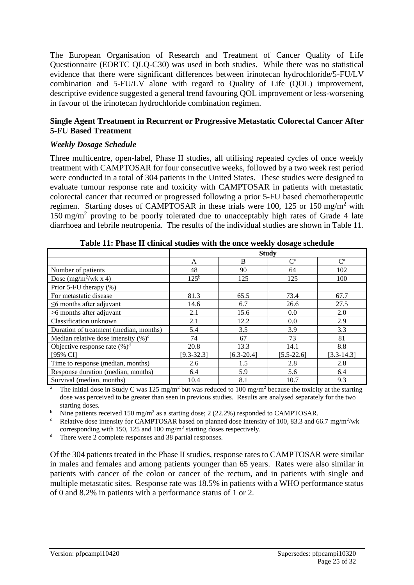The European Organisation of Research and Treatment of Cancer Quality of Life Questionnaire (EORTC QLQ-C30) was used in both studies. While there was no statistical evidence that there were significant differences between irinotecan hydrochloride/5-FU/LV combination and 5-FU/LV alone with regard to Quality of Life (QOL) improvement, descriptive evidence suggested a general trend favouring QOL improvement or less-worsening in favour of the irinotecan hydrochloride combination regimen.

#### **Single Agent Treatment in Recurrent or Progressive Metastatic Colorectal Cancer After 5-FU Based Treatment**

#### *Weekly Dosage Schedule*

Three multicentre, open-label, Phase II studies, all utilising repeated cycles of once weekly treatment with CAMPTOSAR for four consecutive weeks, followed by a two week rest period were conducted in a total of 304 patients in the United States. These studies were designed to evaluate tumour response rate and toxicity with CAMPTOSAR in patients with metastatic colorectal cancer that recurred or progressed following a prior 5-FU based chemotherapeutic regimen. Starting doses of CAMPTOSAR in these trials were 100, 125 or 150 mg/m<sup>2</sup> with 150 mg/m<sup>2</sup> proving to be poorly tolerated due to unacceptably high rates of Grade 4 late diarrhoea and febrile neutropenia. The results of the individual studies are shown in Table 11.

| Tuble 11, I have 11 chancen beautes with the once weekly woodge beheating |                  |                |                |              |  |  |  |
|---------------------------------------------------------------------------|------------------|----------------|----------------|--------------|--|--|--|
|                                                                           | <b>Study</b>     |                |                |              |  |  |  |
|                                                                           | A                | B              | $C^{\rm a}$    | $C^{\rm a}$  |  |  |  |
| Number of patients                                                        | 48               | 90             | 64             | 102          |  |  |  |
| Dose $(mg/m^2/wk x 4)$                                                    | 125 <sup>b</sup> | 125            | 125            | 100          |  |  |  |
| Prior 5-FU therapy $(\%)$                                                 |                  |                |                |              |  |  |  |
| For metastatic disease                                                    | 81.3             | 65.5           | 73.4           | 67.7         |  |  |  |
| $\leq$ months after adjuvant                                              | 14.6             | 6.7            | 26.6           | 27.5         |  |  |  |
| >6 months after adjuvant                                                  | 2.1              | 15.6           | 0.0            | 2.0          |  |  |  |
| Classification unknown                                                    | 2.1              | 12.2           | 0.0            | 2.9          |  |  |  |
| Duration of treatment (median, months)                                    | 5.4              | 3.5            | 3.9            | 3.3          |  |  |  |
| Median relative dose intensity $(\% )^c$                                  | 74               | 67             | 73             | 81           |  |  |  |
| Objective response rate $(\%)^d$                                          | 20.8             | 13.3           | 14.1           | 8.8          |  |  |  |
| $[95\% \text{ CI}]$                                                       | $[9.3 - 32.3]$   | $[6.3 - 20.4]$ | $[5.5 - 22.6]$ | $[3.3-14.3]$ |  |  |  |
| Time to response (median, months)                                         | 2.6              | 1.5            | 2.8            | 2.8          |  |  |  |
| Response duration (median, months)                                        | 6.4              | 5.9            | 5.6            | 6.4          |  |  |  |
| Survival (median, months)                                                 | 10.4             | 8.1            | 10.7           | 9.3          |  |  |  |

**Table 11: Phase II clinical studies with the once weekly dosage schedule**

The initial dose in Study C was 125 mg/m<sup>2</sup> but was reduced to 100 mg/m<sup>2</sup> because the toxicity at the starting dose was perceived to be greater than seen in previous studies. Results are analysed separately for the two starting doses.

<sup>b</sup> Nine patients received 150 mg/m<sup>2</sup> as a starting dose; 2 (22.2%) responded to CAMPTOSAR.

<sup>c</sup> Relative dose intensity for CAMPTOSAR based on planned dose intensity of 100, 83.3 and 66.7 mg/m<sup>2</sup>/wk corresponding with 150, 125 and 100 mg/m<sup>2</sup> starting doses respectively.

<sup>d</sup> There were 2 complete responses and 38 partial responses.

Of the 304 patients treated in the Phase II studies, response rates to CAMPTOSAR were similar in males and females and among patients younger than 65 years. Rates were also similar in patients with cancer of the colon or cancer of the rectum, and in patients with single and multiple metastatic sites. Response rate was 18.5% in patients with a WHO performance status of 0 and 8.2% in patients with a performance status of 1 or 2.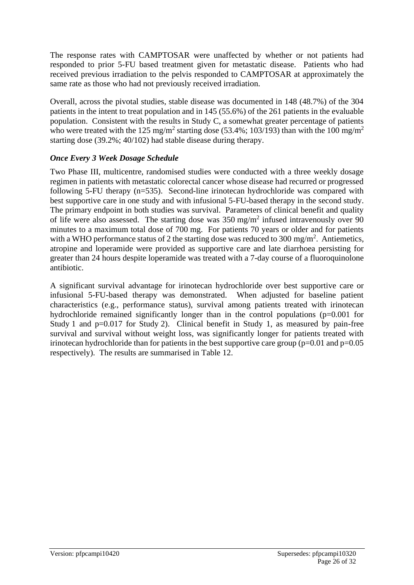The response rates with CAMPTOSAR were unaffected by whether or not patients had responded to prior 5-FU based treatment given for metastatic disease. Patients who had received previous irradiation to the pelvis responded to CAMPTOSAR at approximately the same rate as those who had not previously received irradiation.

Overall, across the pivotal studies, stable disease was documented in 148 (48.7%) of the 304 patients in the intent to treat population and in 145 (55.6%) of the 261 patients in the evaluable population. Consistent with the results in Study C, a somewhat greater percentage of patients who were treated with the 125 mg/m<sup>2</sup> starting dose (53.4%; 103/193) than with the 100 mg/m<sup>2</sup> starting dose (39.2%; 40/102) had stable disease during therapy.

#### *Once Every 3 Week Dosage Schedule*

Two Phase III, multicentre, randomised studies were conducted with a three weekly dosage regimen in patients with metastatic colorectal cancer whose disease had recurred or progressed following 5-FU therapy (n=535). Second-line irinotecan hydrochloride was compared with best supportive care in one study and with infusional 5-FU-based therapy in the second study. The primary endpoint in both studies was survival. Parameters of clinical benefit and quality of life were also assessed. The starting dose was  $350 \text{ mg/m}^2$  infused intravenously over 90 minutes to a maximum total dose of 700 mg. For patients 70 years or older and for patients with a WHO performance status of 2 the starting dose was reduced to 300 mg/m<sup>2</sup>. Antiemetics, atropine and loperamide were provided as supportive care and late diarrhoea persisting for greater than 24 hours despite loperamide was treated with a 7-day course of a fluoroquinolone antibiotic.

A significant survival advantage for irinotecan hydrochloride over best supportive care or infusional 5-FU-based therapy was demonstrated. When adjusted for baseline patient characteristics (e.g., performance status), survival among patients treated with irinotecan hydrochloride remained significantly longer than in the control populations (p=0.001 for Study 1 and p=0.017 for Study 2). Clinical benefit in Study 1, as measured by pain-free survival and survival without weight loss, was significantly longer for patients treated with irinotecan hydrochloride than for patients in the best supportive care group  $(p=0.01$  and  $p=0.05$ respectively). The results are summarised in Table 12.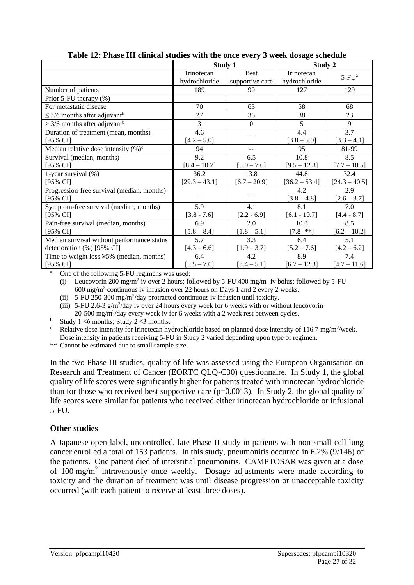|                                                 | Study 1         |                 | o<br>Study 2    |                         |
|-------------------------------------------------|-----------------|-----------------|-----------------|-------------------------|
|                                                 | Irinotecan      | <b>Best</b>     | Irinotecan      |                         |
|                                                 | hydrochloride   | supportive care | hydrochloride   | $5$ - $FU$ <sup>a</sup> |
| Number of patients                              | 189             | 90              | 127             | 129                     |
| Prior 5-FU therapy $(\%)$                       |                 |                 |                 |                         |
| For metastatic disease                          | 70              | 63              | 58              | 68                      |
| $\leq$ 3/6 months after adjuvant <sup>b</sup>   | 27              | 36              | 38              | 23                      |
| $>$ 3/6 months after adjuvant <sup>b</sup>      | 3               | $\overline{0}$  | 5               | 9                       |
| Duration of treatment (mean, months)            | 4.6             |                 | 4.4             | 3.7                     |
| [95% CI]                                        | $[4.2 - 5.0]$   |                 | $[3.8 - 5.0]$   | $[3.3 - 4.1]$           |
| Median relative dose intensity $(\% )^c$        | 94              | --              | 95              | 81-99                   |
| Survival (median, months)                       | 9.2             | 6.5             | 10.8            | 8.5                     |
| [95% CI]                                        | $[8.4 - 10.7]$  | $[5.0 - 7.6]$   | $[9.5 - 12.8]$  | $[7.7 - 10.5]$          |
| 1-year survival (%)                             | 36.2            | 13.8            | 44.8            | 32.4                    |
| [95% CI]                                        | $[29.3 - 43.1]$ | $[6.7 - 20.9]$  | $[36.2 - 53.4]$ | $[24.3 - 40.5]$         |
| Progression-free survival (median, months)      |                 |                 | 4.2             | 2.9                     |
| [95% CI]                                        |                 |                 | $[3.8 - 4.8]$   | $[2.6 - 3.7]$           |
| Symptom-free survival (median, months)          | 5.9             | 4.1             | 8.1             | 7.0                     |
| [95% CI]                                        | $[3.8 - 7.6]$   | $[2.2 - 6.9]$   | $[6.1 - 10.7]$  | $[4.4 - 8.7]$           |
| Pain-free survival (median, months)             | 6.9             | 2.0             | 10.3            | 8.5                     |
| [95% CI]                                        | $[5.8 - 8.4]$   | $[1.8 - 5.1]$   | $[7.8 - **]$    | $[6.2 - 10.2]$          |
| Median survival without performance status      | 5.7             | 3.3             | 6.4             | 5.1                     |
| deterioration (%) [95% CI]                      | $[4.3 - 6.6]$   | $[1.9 - 3.7]$   | $[5.2 - 7.6]$   | $[4.2 - 6.2]$           |
| Time to weight loss $\geq 5\%$ (median, months) | 6.4             | 4.2             | 8.9             | 7.4                     |
| $[95\% \text{ CI}]$                             | $[5.5 - 7.6]$   | $[3.4 - 5.1]$   | $[6.7 - 12.3]$  | $[4.7 - 11.6]$          |

**Table 12: Phase III clinical studies with the once every 3 week dosage schedule**

<sup>a</sup> One of the following 5-FU regimens was used:

(i) Leucovorin 200 mg/m<sup>2</sup> iv over 2 hours; followed by 5-FU 400 mg/m<sup>2</sup> iv bolus; followed by 5-FU  $600 \text{ mg/m}^2$  continuous iv infusion over 22 hours on Days 1 and 2 every 2 weeks.

(ii) 5-FU 250-300 mg/m<sup>2</sup>/day protracted continuous iv infusion until toxicity.

(iii) 5-FU 2.6-3  $g/m^2$ /day iv over 24 hours every week for 6 weeks with or without leucovorin 20-500 mg/m<sup>2</sup>/day every week iv for 6 weeks with a 2 week rest between cycles.

<sup>b</sup> Study 1 ≤6 months; Study 2 ≤3 months.

<sup>c</sup> Relative dose intensity for irinotecan hydrochloride based on planned dose intensity of 116.7 mg/m<sup>2</sup>/week. Dose intensity in patients receiving 5-FU in Study 2 varied depending upon type of regimen.

\*\* Cannot be estimated due to small sample size.

In the two Phase III studies, quality of life was assessed using the European Organisation on Research and Treatment of Cancer (EORTC QLQ-C30) questionnaire. In Study 1, the global quality of life scores were significantly higher for patients treated with irinotecan hydrochloride than for those who received best supportive care  $(p=0.0013)$ . In Study 2, the global quality of life scores were similar for patients who received either irinotecan hydrochloride or infusional 5-FU.

#### **Other studies**

A Japanese open-label, uncontrolled, late Phase II study in patients with non-small-cell lung cancer enrolled a total of 153 patients. In this study, pneumonitis occurred in 6.2% (9/146) of the patients. One patient died of interstitial pneumonitis. CAMPTOSAR was given at a dose of 100 mg/m<sup>2</sup> intravenously once weekly. Dosage adjustments were made according to toxicity and the duration of treatment was until disease progression or unacceptable toxicity occurred (with each patient to receive at least three doses).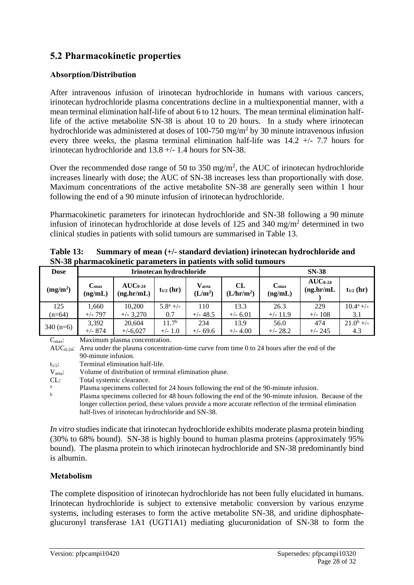# **5.2 Pharmacokinetic properties**

#### **Absorption/Distribution**

After intravenous infusion of irinotecan hydrochloride in humans with various cancers, irinotecan hydrochloride plasma concentrations decline in a multiexponential manner, with a mean terminal elimination half-life of about 6 to 12 hours. The mean terminal elimination halflife of the active metabolite SN-38 is about 10 to 20 hours. In a study where irinotecan hydrochloride was administered at doses of 100-750 mg/m<sup>2</sup> by 30 minute intravenous infusion every three weeks, the plasma terminal elimination half-life was  $14.2 +/- 7.7$  hours for irinotecan hydrochloride and 13.8 +/- 1.4 hours for SN-38.

Over the recommended dose range of 50 to 350 mg/m<sup>2</sup>, the AUC of irinotecan hydrochloride increases linearly with dose; the AUC of SN-38 increases less than proportionally with dose. Maximum concentrations of the active metabolite SN-38 are generally seen within 1 hour following the end of a 90 minute infusion of irinotecan hydrochloride.

Pharmacokinetic parameters for irinotecan hydrochloride and SN-38 following a 90 minute infusion of irinotecan hydrochloride at dose levels of  $125$  and  $340$  mg/m<sup>2</sup> determined in two clinical studies in patients with solid tumours are summarised in Table 13.

| <b>Dose</b>          | Irinotecan hydrochloride |                                    |                   |                              | <b>SN-38</b>                        |                             |                            |                |
|----------------------|--------------------------|------------------------------------|-------------------|------------------------------|-------------------------------------|-----------------------------|----------------------------|----------------|
| (mg/m <sup>2</sup> ) | $C_{\rm max}$<br>(ng/mL) | $AUC_{0.24}$<br>$(ng \cdot hr/mL)$ | $t_{1/2}$ (hr)    | Varea<br>(L/m <sup>2</sup> ) | <b>CL</b><br>(L/hr/m <sup>2</sup> ) | $C_{\text{max}}$<br>(ng/mL) | $AUC_{0.24}$<br>(ng,hr/mL) | $t_{1/2}$ (hr) |
| 125                  | 1.660                    | 10,200                             | $5.8^{\rm a}$ +/- | 110                          | 13.3                                | 26.3                        | 229                        | $10.4^a$ +/-   |
| $(n=64)$             | $+/- 797$                | $+/- 3,270$                        | 0.7               | $+/- 48.5$                   | $+/- 6.01$                          | $+/- 11.9$                  | $+/- 108$                  | 3.1            |
| $340(n=6)$           | 3.392                    | 20,604                             | 11.7 <sup>b</sup> | 234                          | 13.9                                | 56.0                        | 474                        | $21.0^b$ +/-   |
|                      | $+/-$ 874                | $+/-6,027$                         | $+/- 1.0$         | $+/- 69.6$                   | $+/- 4.00$                          | $+/- 28.2$                  | $+/- 245$                  | 4.3            |

**Table 13: Summary of mean (+/- standard deviation) irinotecan hydrochloride and SN-38 pharmacokinetic parameters in patients with solid tumours**

C<sub>max</sub>: Maximum plasma concentration.

 $AUC_{0.24}$ : Area under the plasma concentration-time curve from time 0 to 24 hours after the end of the 90-minute infusion.

 $t_{1/2}$ : Terminal elimination half-life.

Varea: Volume of distribution of terminal elimination phase.

CL: Total systemic clearance.

<sup>a</sup> Plasma specimens collected for 24 hours following the end of the 90-minute infusion.

<sup>b</sup> Plasma specimens collected for 48 hours following the end of the 90-minute infusion. Because of the longer collection period, these values provide a more accurate reflection of the terminal elimination half-lives of irinotecan hydrochloride and SN-38.

*In vitro* studies indicate that irinotecan hydrochloride exhibits moderate plasma protein binding (30% to 68% bound). SN-38 is highly bound to human plasma proteins (approximately 95% bound). The plasma protein to which irinotecan hydrochloride and SN-38 predominantly bind is albumin.

### **Metabolism**

The complete disposition of irinotecan hydrochloride has not been fully elucidated in humans. Irinotecan hydrochloride is subject to extensive metabolic conversion by various enzyme systems, including esterases to form the active metabolite SN-38, and uridine diphosphateglucuronyl transferase 1A1 (UGT1A1) mediating glucuronidation of SN-38 to form the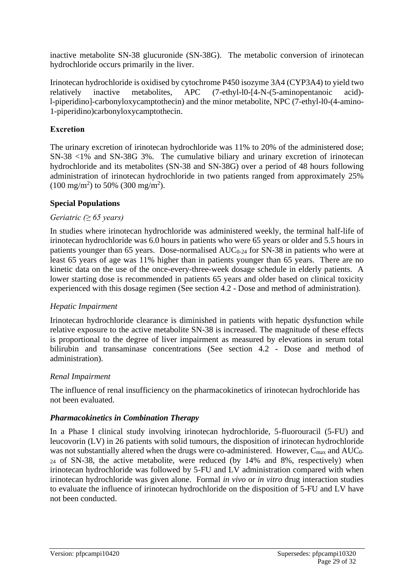inactive metabolite SN-38 glucuronide (SN-38G). The metabolic conversion of irinotecan hydrochloride occurs primarily in the liver.

Irinotecan hydrochloride is oxidised by cytochrome P450 isozyme 3A4 (CYP3A4) to yield two relatively inactive metabolites, APC (7-ethyl-l0-[4-N-(5-aminopentanoic acid) l-piperidino]-carbonyloxycamptothecin) and the minor metabolite, NPC (7-ethyl-l0-(4-amino-1-piperidino)carbonyloxycamptothecin.

### **Excretion**

The urinary excretion of irinotecan hydrochloride was 11% to 20% of the administered dose; SN-38 <1% and SN-38G 3%. The cumulative biliary and urinary excretion of irinotecan hydrochloride and its metabolites (SN-38 and SN-38G) over a period of 48 hours following administration of irinotecan hydrochloride in two patients ranged from approximately 25%  $(100 \text{ mg/m}^2)$  to 50%  $(300 \text{ mg/m}^2)$ .

### **Special Populations**

### *Geriatric (≥ 65 years)*

In studies where irinotecan hydrochloride was administered weekly, the terminal half-life of irinotecan hydrochloride was 6.0 hours in patients who were 65 years or older and 5.5 hours in patients younger than 65 years. Dose-normalised AUC<sub>0-24</sub> for SN-38 in patients who were at least 65 years of age was 11% higher than in patients younger than 65 years. There are no kinetic data on the use of the once-every-three-week dosage schedule in elderly patients. A lower starting dose is recommended in patients 65 years and older based on clinical toxicity experienced with this dosage regimen (See section 4.2 - Dose and method of administration).

### *Hepatic Impairment*

Irinotecan hydrochloride clearance is diminished in patients with hepatic dysfunction while relative exposure to the active metabolite SN-38 is increased. The magnitude of these effects is proportional to the degree of liver impairment as measured by elevations in serum total bilirubin and transaminase concentrations (See section 4.2 - Dose and method of administration).

### *Renal Impairment*

The influence of renal insufficiency on the pharmacokinetics of irinotecan hydrochloride has not been evaluated.

### *Pharmacokinetics in Combination Therapy*

In a Phase I clinical study involving irinotecan hydrochloride, 5-fluorouracil (5-FU) and leucovorin (LV) in 26 patients with solid tumours, the disposition of irinotecan hydrochloride was not substantially altered when the drugs were co-administered. However, C<sub>max</sub> and AUC<sub>0</sub>-<sup>24</sup> of SN-38, the active metabolite, were reduced (by 14% and 8%, respectively) when irinotecan hydrochloride was followed by 5-FU and LV administration compared with when irinotecan hydrochloride was given alone. Formal *in vivo* or *in vitro* drug interaction studies to evaluate the influence of irinotecan hydrochloride on the disposition of 5-FU and LV have not been conducted.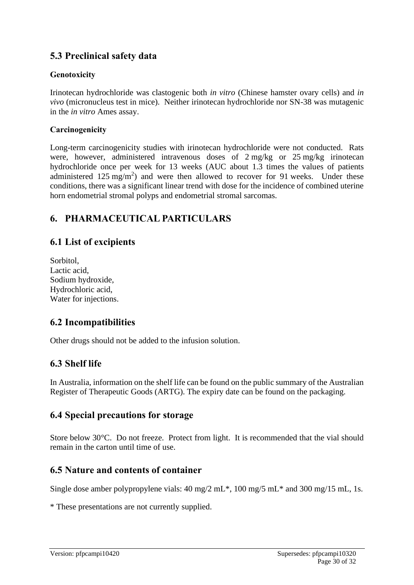# **5.3 Preclinical safety data**

### **Genotoxicity**

Irinotecan hydrochloride was clastogenic both *in vitro* (Chinese hamster ovary cells) and *in vivo* (micronucleus test in mice). Neither irinotecan hydrochloride nor SN-38 was mutagenic in the *in vitro* Ames assay.

### **Carcinogenicity**

Long-term carcinogenicity studies with irinotecan hydrochloride were not conducted. Rats were, however, administered intravenous doses of 2 mg/kg or 25 mg/kg irinotecan hydrochloride once per week for 13 weeks (AUC about 1.3 times the values of patients administered  $125 \text{ mg/m}^2$ ) and were then allowed to recover for 91 weeks. Under these conditions, there was a significant linear trend with dose for the incidence of combined uterine horn endometrial stromal polyps and endometrial stromal sarcomas.

# **6. PHARMACEUTICAL PARTICULARS**

# **6.1 List of excipients**

Sorbitol, Lactic acid, Sodium hydroxide, Hydrochloric acid, Water for injections.

# **6.2 Incompatibilities**

Other drugs should not be added to the infusion solution.

# **6.3 Shelf life**

In Australia, information on the shelf life can be found on the public summary of the Australian Register of Therapeutic Goods (ARTG). The expiry date can be found on the packaging.

# **6.4 Special precautions for storage**

Store below 30°C. Do not freeze. Protect from light. It is recommended that the vial should remain in the carton until time of use.

# **6.5 Nature and contents of container**

Single dose amber polypropylene vials: 40 mg/2 mL\*, 100 mg/5 mL\* and 300 mg/15 mL, 1s.

\* These presentations are not currently supplied.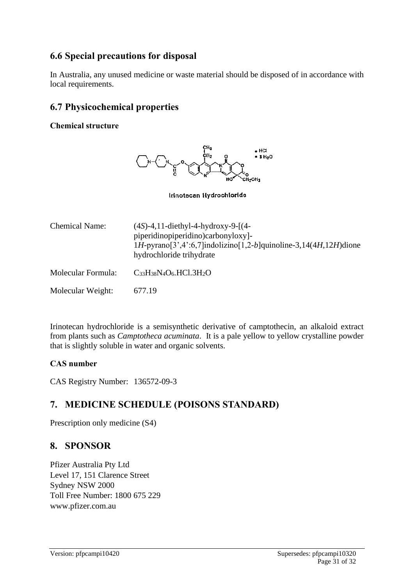# **6.6 Special precautions for disposal**

In Australia, any unused medicine or waste material should be disposed of in accordance with local requirements.

### **6.7 Physicochemical properties**

**Chemical structure** 



Irinotecan Hydrochloride

| <b>Chemical Name:</b> | $(4S)$ -4,11-diethyl-4-hydroxy-9-[ $(4-$<br>piperidinopiperidino)carbonyloxy]-<br>$1H$ -pyrano $[3',4':6,7]$ indolizino $[1,2-b]$ quinoline-3,14(4H,12H)dione<br>hydrochloride trihydrate |
|-----------------------|-------------------------------------------------------------------------------------------------------------------------------------------------------------------------------------------|
| Molecular Formula:    | $C_{33}H_{38}N_4O_6$ .HCl.3H <sub>2</sub> O                                                                                                                                               |
| Molecular Weight:     | 677.19                                                                                                                                                                                    |

Irinotecan hydrochloride is a semisynthetic derivative of camptothecin, an alkaloid extract from plants such as *Camptotheca acuminata*. It is a pale yellow to yellow crystalline powder that is slightly soluble in water and organic solvents.

### **CAS number**

CAS Registry Number: 136572-09-3

# **7. MEDICINE SCHEDULE (POISONS STANDARD)**

Prescription only medicine (S4)

### **8. SPONSOR**

Pfizer Australia Pty Ltd Level 17, 151 Clarence Street Sydney NSW 2000 Toll Free Number: 1800 675 229 www.pfizer.com.au